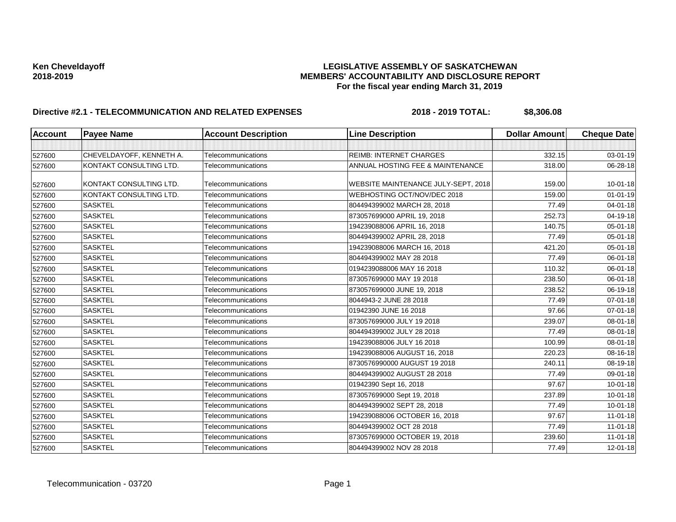| <b>Account</b> | <b>Payee Name</b>        | <b>Account Description</b> | <b>Line Description</b>             | <b>Dollar Amount</b> | <b>Cheque Date</b> |
|----------------|--------------------------|----------------------------|-------------------------------------|----------------------|--------------------|
|                |                          |                            |                                     |                      |                    |
| 527600         | CHEVELDAYOFF, KENNETH A. | Telecommunications         | <b>REIMB: INTERNET CHARGES</b>      | 332.15               | 03-01-19           |
| 527600         | KONTAKT CONSULTING LTD.  | Telecommunications         | ANNUAL HOSTING FEE & MAINTENANCE    | 318.00               | 06-28-18           |
| 527600         | KONTAKT CONSULTING LTD.  | Telecommunications         | WEBSITE MAINTENANCE JULY-SEPT, 2018 | 159.00               | $10 - 01 - 18$     |
| 527600         | KONTAKT CONSULTING LTD.  | Telecommunications         | WEBHOSTING OCT/NOV/DEC 2018         | 159.00               | $01 - 01 - 19$     |
| 527600         | <b>SASKTEL</b>           | Telecommunications         | 804494399002 MARCH 28, 2018         | 77.49                | $04 - 01 - 18$     |
| 527600         | <b>SASKTEL</b>           | Telecommunications         | 873057699000 APRIL 19, 2018         | 252.73               | 04-19-18           |
| 527600         | <b>SASKTEL</b>           | Telecommunications         | 194239088006 APRIL 16, 2018         | 140.75               | 05-01-18           |
| 527600         | <b>SASKTEL</b>           | Telecommunications         | 804494399002 APRIL 28, 2018         | 77.49                | 05-01-18           |
| 527600         | <b>SASKTEL</b>           | Telecommunications         | 194239088006 MARCH 16, 2018         | 421.20               | 05-01-18           |
| 527600         | <b>SASKTEL</b>           | Telecommunications         | 804494399002 MAY 28 2018            | 77.49                | 06-01-18           |
| 527600         | <b>SASKTEL</b>           | Telecommunications         | 0194239088006 MAY 16 2018           | 110.32               | 06-01-18           |
| 527600         | <b>SASKTEL</b>           | Telecommunications         | 873057699000 MAY 19 2018            | 238.50               | 06-01-18           |
| 527600         | <b>SASKTEL</b>           | Telecommunications         | 873057699000 JUNE 19, 2018          | 238.52               | 06-19-18           |
| 527600         | <b>SASKTEL</b>           | Telecommunications         | 8044943-2 JUNE 28 2018              | 77.49                | 07-01-18           |
| 527600         | <b>SASKTEL</b>           | Telecommunications         | 01942390 JUNE 16 2018               | 97.66                | 07-01-18           |
| 527600         | <b>SASKTEL</b>           | Telecommunications         | 873057699000 JULY 19 2018           | 239.07               | 08-01-18           |
| 527600         | <b>SASKTEL</b>           | Telecommunications         | 804494399002 JULY 28 2018           | 77.49                | 08-01-18           |
| 527600         | <b>SASKTEL</b>           | Telecommunications         | 194239088006 JULY 16 2018           | 100.99               | 08-01-18           |
| 527600         | <b>SASKTEL</b>           | Telecommunications         | 194239088006 AUGUST 16, 2018        | 220.23               | 08-16-18           |
| 527600         | <b>SASKTEL</b>           | Telecommunications         | 8730576990000 AUGUST 19 2018        | 240.11               | 08-19-18           |
| 527600         | <b>SASKTEL</b>           | Telecommunications         | 804494399002 AUGUST 28 2018         | 77.49                | 09-01-18           |
| 527600         | <b>SASKTEL</b>           | Telecommunications         | 01942390 Sept 16, 2018              | 97.67                | $10 - 01 - 18$     |
| 527600         | <b>SASKTEL</b>           | Telecommunications         | 873057699000 Sept 19, 2018          | 237.89               | $10 - 01 - 18$     |
| 527600         | <b>SASKTEL</b>           | Telecommunications         | 804494399002 SEPT 28, 2018          | 77.49                | $10 - 01 - 18$     |
| 527600         | <b>SASKTEL</b>           | Telecommunications         | 194239088006 OCTOBER 16, 2018       | 97.67                | $11 - 01 - 18$     |
| 527600         | <b>SASKTEL</b>           | Telecommunications         | 804494399002 OCT 28 2018            | 77.49                | $11-01-18$         |
| 527600         | <b>SASKTEL</b>           | Telecommunications         | 873057699000 OCTOBER 19, 2018       | 239.60               | $11 - 01 - 18$     |
| 527600         | <b>SASKTEL</b>           | Telecommunications         | 804494399002 NOV 28 2018            | 77.49                | $12 - 01 - 18$     |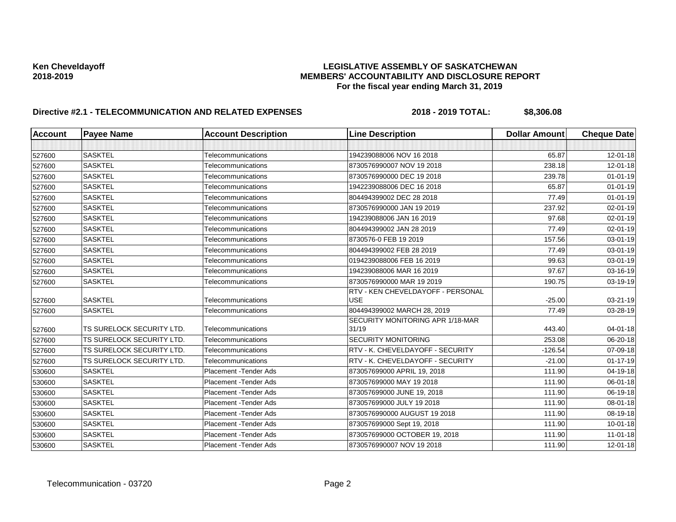| <b>Account</b> | <b>Payee Name</b>         | <b>Account Description</b> | <b>Line Description</b>                         | <b>Dollar Amount</b> | <b>Cheque Date</b> |
|----------------|---------------------------|----------------------------|-------------------------------------------------|----------------------|--------------------|
|                |                           |                            |                                                 |                      |                    |
| 527600         | <b>SASKTEL</b>            | Telecommunications         | 194239088006 NOV 16 2018                        | 65.87                | $12 - 01 - 18$     |
| 527600         | <b>SASKTEL</b>            | Telecommunications         | 8730576990007 NOV 19 2018                       | 238.18               | $12 - 01 - 18$     |
| 527600         | <b>SASKTEL</b>            | Telecommunications         | 8730576990000 DEC 19 2018                       | 239.78               | $01 - 01 - 19$     |
| 527600         | <b>SASKTEL</b>            | Telecommunications         | 1942239088006 DEC 16 2018                       | 65.87                | $01 - 01 - 19$     |
| 527600         | <b>SASKTEL</b>            | Telecommunications         | 804494399002 DEC 28 2018                        | 77.49                | $01 - 01 - 19$     |
| 527600         | <b>SASKTEL</b>            | Telecommunications         | 8730576990000 JAN 19 2019                       | 237.92               | 02-01-19           |
| 527600         | <b>SASKTEL</b>            | Telecommunications         | 194239088006 JAN 16 2019                        | 97.68                | 02-01-19           |
| 527600         | <b>SASKTEL</b>            | Telecommunications         | 804494399002 JAN 28 2019                        | 77.49                | 02-01-19           |
| 527600         | <b>SASKTEL</b>            | Telecommunications         | 8730576-0 FEB 19 2019                           | 157.56               | 03-01-19           |
| 527600         | <b>SASKTEL</b>            | Telecommunications         | 804494399002 FEB 28 2019                        | 77.49                | 03-01-19           |
| 527600         | <b>SASKTEL</b>            | Telecommunications         | 0194239088006 FEB 16 2019                       | 99.63                | 03-01-19           |
| 527600         | <b>SASKTEL</b>            | Telecommunications         | 194239088006 MAR 16 2019                        | 97.67                | 03-16-19           |
| 527600         | <b>SASKTEL</b>            | Telecommunications         | 8730576990000 MAR 19 2019                       | 190.75               | 03-19-19           |
| 527600         | <b>SASKTEL</b>            | Telecommunications         | RTV - KEN CHEVELDAYOFF - PERSONAL<br><b>USE</b> | $-25.00$             | 03-21-19           |
| 527600         | <b>SASKTEL</b>            | Telecommunications         | 804494399002 MARCH 28, 2019                     | 77.49                | 03-28-19           |
| 527600         | TS SURELOCK SECURITY LTD. | Telecommunications         | SECURITY MONITORING APR 1/18-MAR<br>31/19       | 443.40               | 04-01-18           |
| 527600         | TS SURELOCK SECURITY LTD. | Telecommunications         | <b>SECURITY MONITORING</b>                      | 253.08               | 06-20-18           |
| 527600         | TS SURELOCK SECURITY LTD. | Telecommunications         | RTV - K. CHEVELDAYOFF - SECURITY                | $-126.54$            | 07-09-18           |
| 527600         | TS SURELOCK SECURITY LTD. | Telecommunications         | RTV - K. CHEVELDAYOFF - SECURITY                | $-21.00$             | $01 - 17 - 19$     |
| 530600         | <b>SASKTEL</b>            | Placement - Tender Ads     | 873057699000 APRIL 19, 2018                     | 111.90               | 04-19-18           |
| 530600         | <b>SASKTEL</b>            | Placement - Tender Ads     | 873057699000 MAY 19 2018                        | 111.90               | 06-01-18           |
| 530600         | <b>SASKTEL</b>            | Placement - Tender Ads     | 873057699000 JUNE 19, 2018                      | 111.90               | 06-19-18           |
| 530600         | <b>SASKTEL</b>            | Placement - Tender Ads     | 873057699000 JULY 19 2018                       | 111.90               | 08-01-18           |
| 530600         | <b>SASKTEL</b>            | Placement - Tender Ads     | 8730576990000 AUGUST 19 2018                    | 111.90               | 08-19-18           |
| 530600         | <b>SASKTEL</b>            | Placement - Tender Ads     | 873057699000 Sept 19, 2018                      | 111.90               | $10 - 01 - 18$     |
| 530600         | <b>SASKTEL</b>            | Placement - Tender Ads     | 873057699000 OCTOBER 19, 2018                   | 111.90               | $11 - 01 - 18$     |
| 530600         | <b>SASKTEL</b>            | Placement - Tender Ads     | 8730576990007 NOV 19 2018                       | 111.90               | 12-01-18           |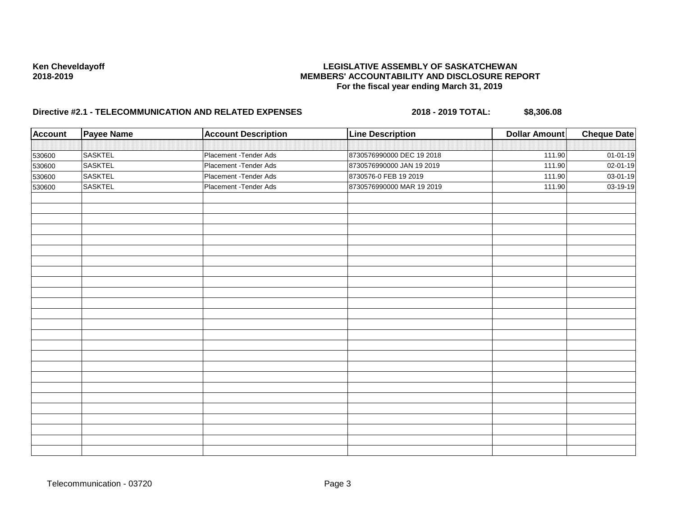| <b>Account</b> | <b>Payee Name</b> | <b>Account Description</b> | <b>Line Description</b>   | <b>Dollar Amount</b> | <b>Cheque Date</b> |
|----------------|-------------------|----------------------------|---------------------------|----------------------|--------------------|
|                |                   |                            |                           |                      |                    |
| 530600         | <b>SASKTEL</b>    | Placement - Tender Ads     | 8730576990000 DEC 19 2018 | 111.90               | 01-01-19           |
| 530600         | <b>SASKTEL</b>    | Placement - Tender Ads     | 8730576990000 JAN 19 2019 | 111.90               | 02-01-19           |
| 530600         | <b>SASKTEL</b>    | Placement - Tender Ads     | 8730576-0 FEB 19 2019     | 111.90               | 03-01-19           |
| 530600         | <b>SASKTEL</b>    | Placement - Tender Ads     | 8730576990000 MAR 19 2019 | 111.90               | 03-19-19           |
|                |                   |                            |                           |                      |                    |
|                |                   |                            |                           |                      |                    |
|                |                   |                            |                           |                      |                    |
|                |                   |                            |                           |                      |                    |
|                |                   |                            |                           |                      |                    |
|                |                   |                            |                           |                      |                    |
|                |                   |                            |                           |                      |                    |
|                |                   |                            |                           |                      |                    |
|                |                   |                            |                           |                      |                    |
|                |                   |                            |                           |                      |                    |
|                |                   |                            |                           |                      |                    |
|                |                   |                            |                           |                      |                    |
|                |                   |                            |                           |                      |                    |
|                |                   |                            |                           |                      |                    |
|                |                   |                            |                           |                      |                    |
|                |                   |                            |                           |                      |                    |
|                |                   |                            |                           |                      |                    |
|                |                   |                            |                           |                      |                    |
|                |                   |                            |                           |                      |                    |
|                |                   |                            |                           |                      |                    |
|                |                   |                            |                           |                      |                    |
|                |                   |                            |                           |                      |                    |
|                |                   |                            |                           |                      |                    |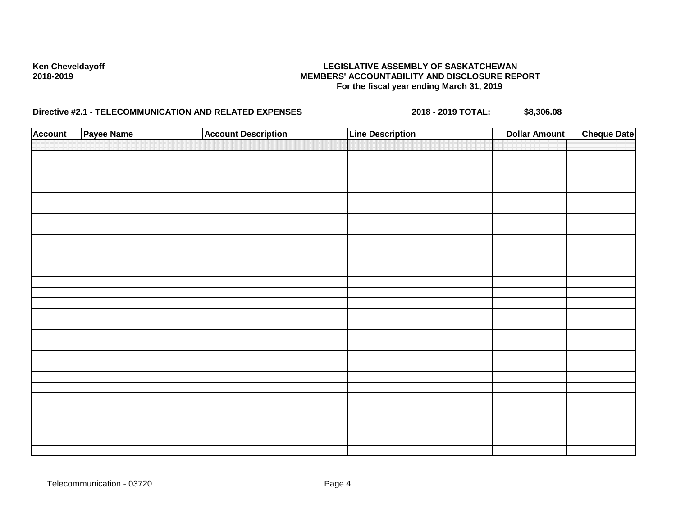| <b>Account</b> | Payee Name | <b>Account Description</b> | <b>Line Description</b> | <b>Dollar Amount</b> | <b>Cheque Date</b> |
|----------------|------------|----------------------------|-------------------------|----------------------|--------------------|
|                |            |                            |                         |                      |                    |
|                |            |                            |                         |                      |                    |
|                |            |                            |                         |                      |                    |
|                |            |                            |                         |                      |                    |
|                |            |                            |                         |                      |                    |
|                |            |                            |                         |                      |                    |
|                |            |                            |                         |                      |                    |
|                |            |                            |                         |                      |                    |
|                |            |                            |                         |                      |                    |
|                |            |                            |                         |                      |                    |
|                |            |                            |                         |                      |                    |
|                |            |                            |                         |                      |                    |
|                |            |                            |                         |                      |                    |
|                |            |                            |                         |                      |                    |
|                |            |                            |                         |                      |                    |
|                |            |                            |                         |                      |                    |
|                |            |                            |                         |                      |                    |
|                |            |                            |                         |                      |                    |
|                |            |                            |                         |                      |                    |
|                |            |                            |                         |                      |                    |
|                |            |                            |                         |                      |                    |
|                |            |                            |                         |                      |                    |
|                |            |                            |                         |                      |                    |
|                |            |                            |                         |                      |                    |
|                |            |                            |                         |                      |                    |
|                |            |                            |                         |                      |                    |
|                |            |                            |                         |                      |                    |
|                |            |                            |                         |                      |                    |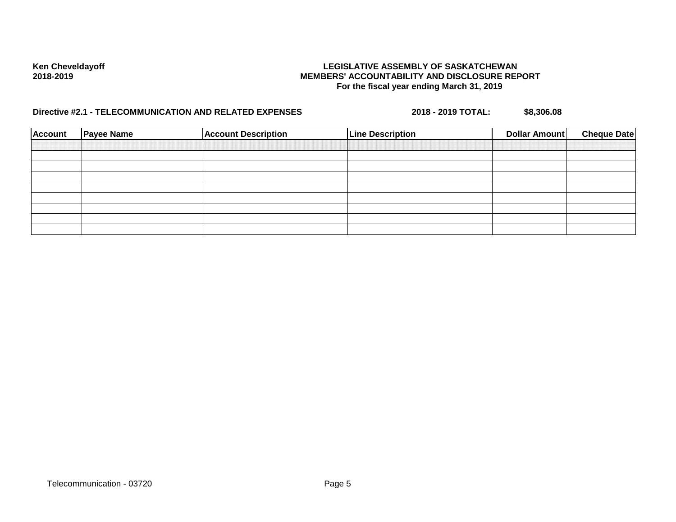| <b>Account</b> | <b>Payee Name</b> | <b>Account Description</b> | <b>Line Description</b> | Dollar Amount | <b>Cheque Date</b> |
|----------------|-------------------|----------------------------|-------------------------|---------------|--------------------|
|                |                   |                            |                         |               |                    |
|                |                   |                            |                         |               |                    |
|                |                   |                            |                         |               |                    |
|                |                   |                            |                         |               |                    |
|                |                   |                            |                         |               |                    |
|                |                   |                            |                         |               |                    |
|                |                   |                            |                         |               |                    |
|                |                   |                            |                         |               |                    |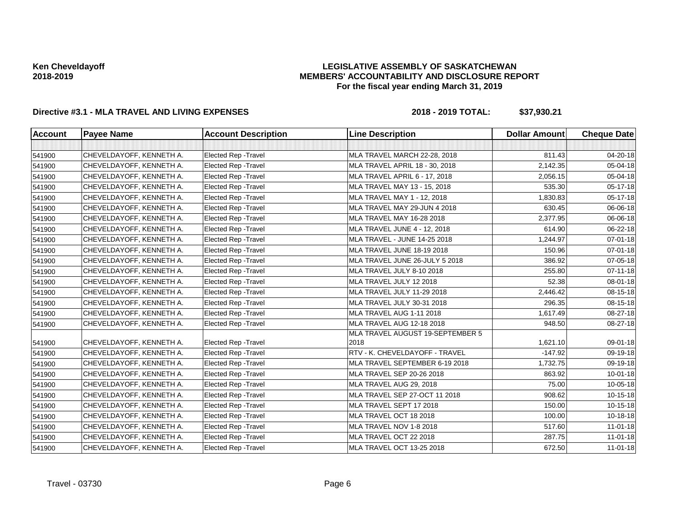### **LEGISLATIVE ASSEMBLY OF SASKATCHEWAN MEMBERS' ACCOUNTABILITY AND DISCLOSURE REPORT For the fiscal year ending March 31, 2019**

| <b>Account</b> | <b>Payee Name</b>        | <b>Account Description</b>  | <b>Line Description</b>                  | <b>Dollar Amount</b> | <b>Cheque Date</b> |
|----------------|--------------------------|-----------------------------|------------------------------------------|----------------------|--------------------|
|                |                          |                             |                                          |                      |                    |
| 541900         | CHEVELDAYOFF, KENNETH A. | Elected Rep - Travel        | MLA TRAVEL MARCH 22-28, 2018             | 811.43               | 04-20-18           |
| 541900         | CHEVELDAYOFF, KENNETH A. | <b>Elected Rep - Travel</b> | MLA TRAVEL APRIL 18 - 30, 2018           | 2,142.35             | 05-04-18           |
| 541900         | CHEVELDAYOFF, KENNETH A. | Elected Rep - Travel        | MLA TRAVEL APRIL 6 - 17, 2018            | 2,056.15             | 05-04-18           |
| 541900         | CHEVELDAYOFF, KENNETH A. | <b>Elected Rep - Travel</b> | MLA TRAVEL MAY 13 - 15, 2018             | 535.30               | 05-17-18           |
| 541900         | CHEVELDAYOFF, KENNETH A. | <b>Elected Rep - Travel</b> | MLA TRAVEL MAY 1 - 12, 2018              | 1,830.83             | 05-17-18           |
| 541900         | CHEVELDAYOFF, KENNETH A. | Elected Rep - Travel        | MLA TRAVEL MAY 29-JUN 4 2018             | 630.45               | 06-06-18           |
| 541900         | CHEVELDAYOFF, KENNETH A. | <b>Elected Rep - Travel</b> | MLA TRAVEL MAY 16-28 2018                | 2,377.95             | 06-06-18           |
| 541900         | CHEVELDAYOFF, KENNETH A. | Elected Rep - Travel        | MLA TRAVEL JUNE 4 - 12, 2018             | 614.90               | 06-22-18           |
| 541900         | CHEVELDAYOFF, KENNETH A. | <b>Elected Rep - Travel</b> | MLA TRAVEL - JUNE 14-25 2018             | 1,244.97             | 07-01-18           |
| 541900         | CHEVELDAYOFF, KENNETH A. | Elected Rep - Travel        | MLA TRAVEL JUNE 18-19 2018               | 150.96               | $07 - 01 - 18$     |
| 541900         | CHEVELDAYOFF, KENNETH A. | Elected Rep - Travel        | MLA TRAVEL JUNE 26-JULY 5 2018           | 386.92               | 07-05-18           |
| 541900         | CHEVELDAYOFF, KENNETH A. | <b>Elected Rep - Travel</b> | MLA TRAVEL JULY 8-10 2018                | 255.80               | $07 - 11 - 18$     |
| 541900         | CHEVELDAYOFF, KENNETH A. | Elected Rep - Travel        | MLA TRAVEL JULY 12 2018                  | 52.38                | 08-01-18           |
| 541900         | CHEVELDAYOFF, KENNETH A. | <b>Elected Rep - Travel</b> | MLA TRAVEL JULY 11-29 2018               | 2,446.42             | 08-15-18           |
| 541900         | CHEVELDAYOFF, KENNETH A. | <b>Elected Rep - Travel</b> | MLA TRAVEL JULY 30-31 2018               | 296.35               | 08-15-18           |
| 541900         | CHEVELDAYOFF, KENNETH A. | Elected Rep - Travel        | MLA TRAVEL AUG 1-11 2018                 | 1,617.49             | $08 - 27 - 18$     |
| 541900         | CHEVELDAYOFF, KENNETH A. | <b>Elected Rep - Travel</b> | MLA TRAVEL AUG 12-18 2018                | 948.50               | 08-27-18           |
| 541900         | CHEVELDAYOFF, KENNETH A. | Elected Rep - Travel        | MLA TRAVEL AUGUST 19-SEPTEMBER 5<br>2018 | 1,621.10             | 09-01-18           |
| 541900         | CHEVELDAYOFF, KENNETH A. | Elected Rep - Travel        | RTV - K. CHEVELDAYOFF - TRAVEL           | $-147.92$            | 09-19-18           |
| 541900         | CHEVELDAYOFF, KENNETH A. | <b>Elected Rep - Travel</b> | MLA TRAVEL SEPTEMBER 6-19 2018           | 1,732.75             | 09-19-18           |
| 541900         | CHEVELDAYOFF, KENNETH A. | Elected Rep - Travel        | MLA TRAVEL SEP 20-26 2018                | 863.92               | $10 - 01 - 18$     |
| 541900         | CHEVELDAYOFF, KENNETH A. | <b>Elected Rep - Travel</b> | MLA TRAVEL AUG 29, 2018                  | 75.00                | 10-05-18           |
| 541900         | CHEVELDAYOFF, KENNETH A. | Elected Rep - Travel        | MLA TRAVEL SEP 27-OCT 11 2018            | 908.62               | 10-15-18           |
| 541900         | CHEVELDAYOFF, KENNETH A. | Elected Rep - Travel        | MLA TRAVEL SEPT 17 2018                  | 150.00               | 10-15-18           |
| 541900         | CHEVELDAYOFF, KENNETH A. | <b>Elected Rep - Travel</b> | MLA TRAVEL OCT 18 2018                   | 100.00               | 10-18-18           |
| 541900         | CHEVELDAYOFF, KENNETH A. | Elected Rep - Travel        | MLA TRAVEL NOV 1-8 2018                  | 517.60               | $11 - 01 - 18$     |
| 541900         | CHEVELDAYOFF, KENNETH A. | <b>Elected Rep - Travel</b> | MLA TRAVEL OCT 22 2018                   | 287.75               | $11-01-18$         |
| 541900         | CHEVELDAYOFF, KENNETH A. | Elected Rep - Travel        | MLA TRAVEL OCT 13-25 2018                | 672.50               | $11-01-18$         |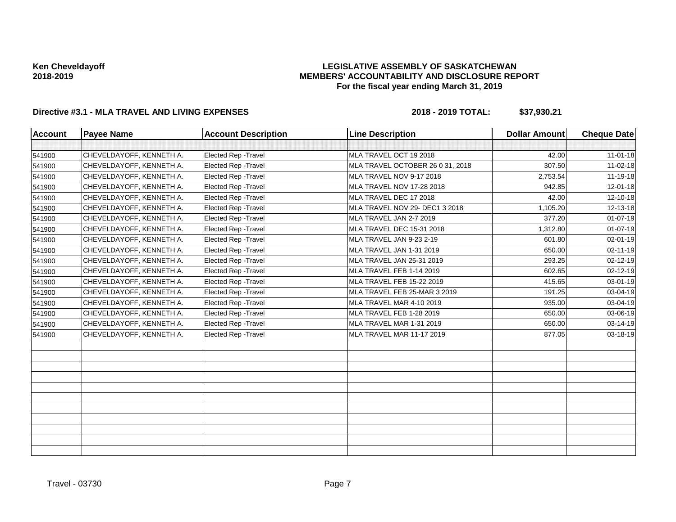### **LEGISLATIVE ASSEMBLY OF SASKATCHEWAN MEMBERS' ACCOUNTABILITY AND DISCLOSURE REPORT For the fiscal year ending March 31, 2019**

| <b>Account</b> | <b>Payee Name</b>        | <b>Account Description</b>  | <b>Line Description</b>          | <b>Dollar Amount</b> | <b>Cheque Date</b> |
|----------------|--------------------------|-----------------------------|----------------------------------|----------------------|--------------------|
|                |                          |                             |                                  |                      |                    |
| 541900         | CHEVELDAYOFF, KENNETH A. | Elected Rep - Travel        | MLA TRAVEL OCT 19 2018           | 42.00                | $11-01-18$         |
| 541900         | CHEVELDAYOFF, KENNETH A. | <b>Elected Rep - Travel</b> | MLA TRAVEL OCTOBER 26 0 31, 2018 | 307.50               | 11-02-18           |
| 541900         | CHEVELDAYOFF, KENNETH A. | Elected Rep - Travel        | MLA TRAVEL NOV 9-17 2018         | 2,753.54             | $11 - 19 - 18$     |
| 541900         | CHEVELDAYOFF, KENNETH A. | Elected Rep - Travel        | MLA TRAVEL NOV 17-28 2018        | 942.85               | 12-01-18           |
| 541900         | CHEVELDAYOFF, KENNETH A. | Elected Rep - Travel        | MLA TRAVEL DEC 17 2018           | 42.00                | 12-10-18           |
| 541900         | CHEVELDAYOFF, KENNETH A. | <b>Elected Rep - Travel</b> | MLA TRAVEL NOV 29- DEC1 3 2018   | 1,105.20             | 12-13-18           |
| 541900         | CHEVELDAYOFF, KENNETH A. | Elected Rep - Travel        | MLA TRAVEL JAN 2-7 2019          | 377.20               | $01 - 07 - 19$     |
| 541900         | CHEVELDAYOFF, KENNETH A. | <b>Elected Rep - Travel</b> | MLA TRAVEL DEC 15-31 2018        | 1,312.80             | $01-07-19$         |
| 541900         | CHEVELDAYOFF, KENNETH A. | <b>Elected Rep - Travel</b> | MLA TRAVEL JAN 9-23 2-19         | 601.80               | 02-01-19           |
| 541900         | CHEVELDAYOFF, KENNETH A. | <b>Elected Rep - Travel</b> | MLA TRAVEL JAN 1-31 2019         | 650.00               | 02-11-19           |
| 541900         | CHEVELDAYOFF, KENNETH A. | <b>Elected Rep - Travel</b> | MLA TRAVEL JAN 25-31 2019        | 293.25               | 02-12-19           |
| 541900         | CHEVELDAYOFF, KENNETH A. | Elected Rep - Travel        | MLA TRAVEL FEB 1-14 2019         | 602.65               | 02-12-19           |
| 541900         | CHEVELDAYOFF, KENNETH A. | Elected Rep - Travel        | MLA TRAVEL FEB 15-22 2019        | 415.65               | 03-01-19           |
| 541900         | CHEVELDAYOFF, KENNETH A. | <b>Elected Rep - Travel</b> | MLA TRAVEL FEB 25-MAR 3 2019     | 191.25               | 03-04-19           |
| 541900         | CHEVELDAYOFF, KENNETH A. | Elected Rep - Travel        | MLA TRAVEL MAR 4-10 2019         | 935.00               | 03-04-19           |
| 541900         | CHEVELDAYOFF, KENNETH A. | Elected Rep - Travel        | MLA TRAVEL FEB 1-28 2019         | 650.00               | 03-06-19           |
| 541900         | CHEVELDAYOFF, KENNETH A. | Elected Rep - Travel        | MLA TRAVEL MAR 1-31 2019         | 650.00               | 03-14-19           |
| 541900         | CHEVELDAYOFF, KENNETH A. | <b>Elected Rep - Travel</b> | MLA TRAVEL MAR 11-17 2019        | 877.05               | 03-18-19           |
|                |                          |                             |                                  |                      |                    |
|                |                          |                             |                                  |                      |                    |
|                |                          |                             |                                  |                      |                    |
|                |                          |                             |                                  |                      |                    |
|                |                          |                             |                                  |                      |                    |
|                |                          |                             |                                  |                      |                    |
|                |                          |                             |                                  |                      |                    |
|                |                          |                             |                                  |                      |                    |
|                |                          |                             |                                  |                      |                    |
|                |                          |                             |                                  |                      |                    |
|                |                          |                             |                                  |                      |                    |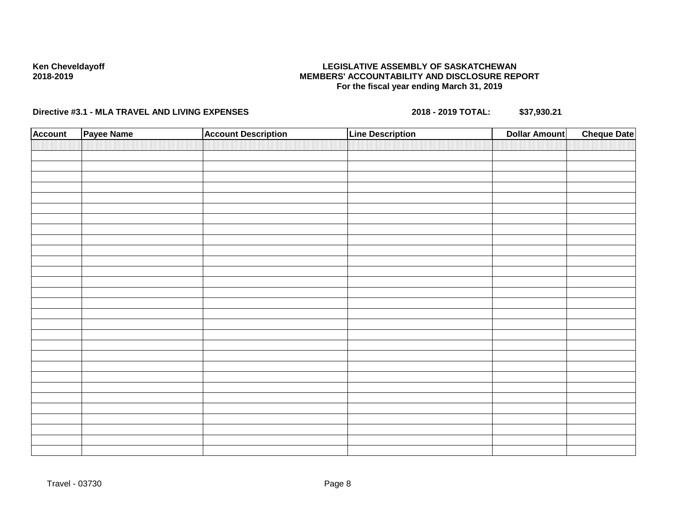### **LEGISLATIVE ASSEMBLY OF SASKATCHEWAN MEMBERS' ACCOUNTABILITY AND DISCLOSURE REPORT For the fiscal year ending March 31, 2019**

| <b>Account</b> | Payee Name | <b>Account Description</b> | <b>Line Description</b> | <b>Dollar Amount</b> | <b>Cheque Date</b> |
|----------------|------------|----------------------------|-------------------------|----------------------|--------------------|
|                |            |                            |                         |                      |                    |
|                |            |                            |                         |                      |                    |
|                |            |                            |                         |                      |                    |
|                |            |                            |                         |                      |                    |
|                |            |                            |                         |                      |                    |
|                |            |                            |                         |                      |                    |
|                |            |                            |                         |                      |                    |
|                |            |                            |                         |                      |                    |
|                |            |                            |                         |                      |                    |
|                |            |                            |                         |                      |                    |
|                |            |                            |                         |                      |                    |
|                |            |                            |                         |                      |                    |
|                |            |                            |                         |                      |                    |
|                |            |                            |                         |                      |                    |
|                |            |                            |                         |                      |                    |
|                |            |                            |                         |                      |                    |
|                |            |                            |                         |                      |                    |
|                |            |                            |                         |                      |                    |
|                |            |                            |                         |                      |                    |
|                |            |                            |                         |                      |                    |
|                |            |                            |                         |                      |                    |
|                |            |                            |                         |                      |                    |
|                |            |                            |                         |                      |                    |
|                |            |                            |                         |                      |                    |
|                |            |                            |                         |                      |                    |
|                |            |                            |                         |                      |                    |
|                |            |                            |                         |                      |                    |
|                |            |                            |                         |                      |                    |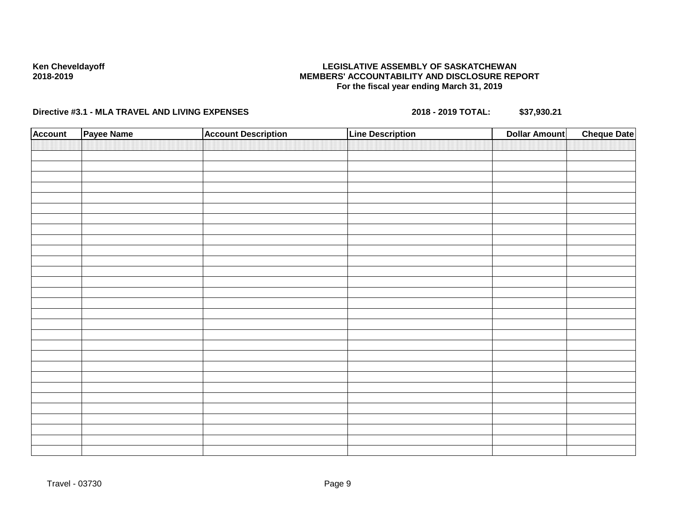### **LEGISLATIVE ASSEMBLY OF SASKATCHEWAN MEMBERS' ACCOUNTABILITY AND DISCLOSURE REPORT For the fiscal year ending March 31, 2019**

| <b>Account</b> | Payee Name | <b>Account Description</b> | <b>Line Description</b> | <b>Cheque Date</b><br><b>Dollar Amount</b> |
|----------------|------------|----------------------------|-------------------------|--------------------------------------------|
|                |            |                            |                         |                                            |
|                |            |                            |                         |                                            |
|                |            |                            |                         |                                            |
|                |            |                            |                         |                                            |
|                |            |                            |                         |                                            |
|                |            |                            |                         |                                            |
|                |            |                            |                         |                                            |
|                |            |                            |                         |                                            |
|                |            |                            |                         |                                            |
|                |            |                            |                         |                                            |
|                |            |                            |                         |                                            |
|                |            |                            |                         |                                            |
|                |            |                            |                         |                                            |
|                |            |                            |                         |                                            |
|                |            |                            |                         |                                            |
|                |            |                            |                         |                                            |
|                |            |                            |                         |                                            |
|                |            |                            |                         |                                            |
|                |            |                            |                         |                                            |
|                |            |                            |                         |                                            |
|                |            |                            |                         |                                            |
|                |            |                            |                         |                                            |
|                |            |                            |                         |                                            |
|                |            |                            |                         |                                            |
|                |            |                            |                         |                                            |
|                |            |                            |                         |                                            |
|                |            |                            |                         |                                            |
|                |            |                            |                         |                                            |
|                |            |                            |                         |                                            |
|                |            |                            |                         |                                            |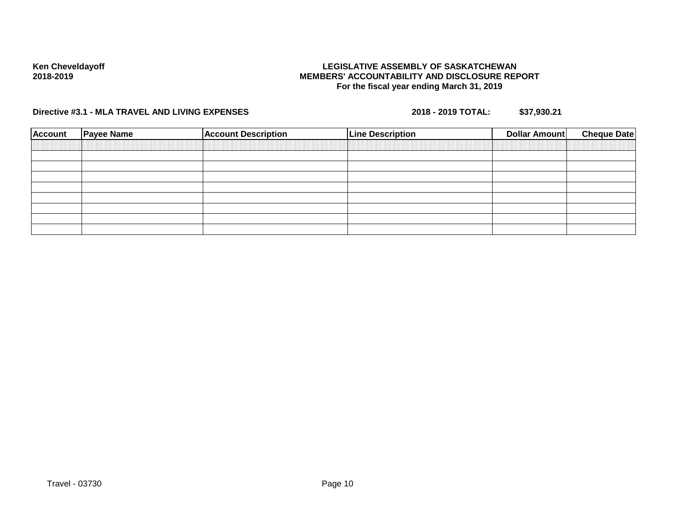### **LEGISLATIVE ASSEMBLY OF SASKATCHEWAN MEMBERS' ACCOUNTABILITY AND DISCLOSURE REPORT For the fiscal year ending March 31, 2019**

| <b>Account</b> | <b>Payee Name</b> | <b>Account Description</b> | <b>Line Description</b> | Dollar Amount | <b>Cheque Date</b> |
|----------------|-------------------|----------------------------|-------------------------|---------------|--------------------|
|                |                   |                            |                         |               |                    |
|                |                   |                            |                         |               |                    |
|                |                   |                            |                         |               |                    |
|                |                   |                            |                         |               |                    |
|                |                   |                            |                         |               |                    |
|                |                   |                            |                         |               |                    |
|                |                   |                            |                         |               |                    |
|                |                   |                            |                         |               |                    |
|                |                   |                            |                         |               |                    |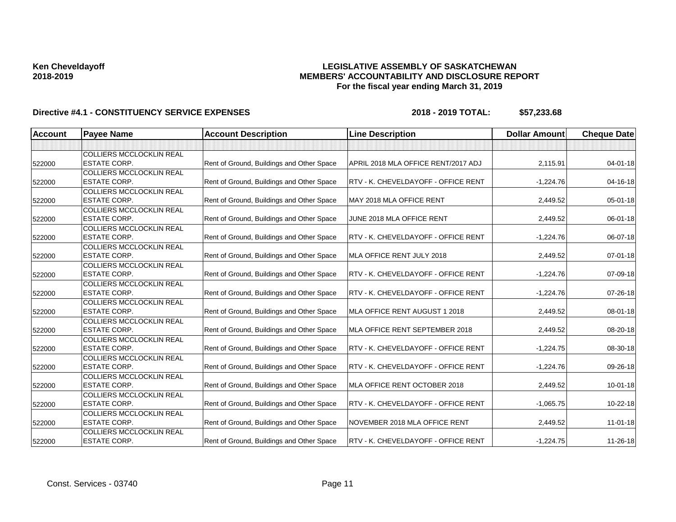### **LEGISLATIVE ASSEMBLY OF SASKATCHEWAN MEMBERS' ACCOUNTABILITY AND DISCLOSURE REPORT For the fiscal year ending March 31, 2019**

| <b>Account</b> | <b>Payee Name</b>                                      | <b>Account Description</b>                | <b>Line Description</b>             | <b>Dollar Amount</b> | <b>Cheque Date</b> |
|----------------|--------------------------------------------------------|-------------------------------------------|-------------------------------------|----------------------|--------------------|
|                |                                                        |                                           |                                     |                      |                    |
| 522000         | <b>COLLIERS MCCLOCKLIN REAL</b><br><b>ESTATE CORP.</b> | Rent of Ground, Buildings and Other Space | APRIL 2018 MLA OFFICE RENT/2017 ADJ | 2,115.91             | $04 - 01 - 18$     |
| 522000         | <b>COLLIERS MCCLOCKLIN REAL</b><br><b>ESTATE CORP.</b> | Rent of Ground, Buildings and Other Space | RTV - K. CHEVELDAYOFF - OFFICE RENT | $-1,224.76$          | $04 - 16 - 18$     |
| 522000         | <b>COLLIERS MCCLOCKLIN REAL</b><br><b>ESTATE CORP.</b> | Rent of Ground, Buildings and Other Space | MAY 2018 MLA OFFICE RENT            | 2,449.52             | 05-01-18           |
| 522000         | <b>COLLIERS MCCLOCKLIN REAL</b><br><b>ESTATE CORP.</b> | Rent of Ground, Buildings and Other Space | JUNE 2018 MLA OFFICE RENT           | 2,449.52             | 06-01-18           |
| 522000         | <b>COLLIERS MCCLOCKLIN REAL</b><br><b>ESTATE CORP.</b> | Rent of Ground, Buildings and Other Space | RTV - K. CHEVELDAYOFF - OFFICE RENT | $-1,224.76$          | 06-07-18           |
| 522000         | <b>COLLIERS MCCLOCKLIN REAL</b><br><b>ESTATE CORP.</b> | Rent of Ground, Buildings and Other Space | MLA OFFICE RENT JULY 2018           | 2,449.52             | $07 - 01 - 18$     |
| 522000         | <b>COLLIERS MCCLOCKLIN REAL</b><br><b>ESTATE CORP.</b> | Rent of Ground, Buildings and Other Space | RTV - K. CHEVELDAYOFF - OFFICE RENT | $-1,224.76$          | 07-09-18           |
| 522000         | <b>COLLIERS MCCLOCKLIN REAL</b><br><b>ESTATE CORP.</b> | Rent of Ground, Buildings and Other Space | RTV - K. CHEVELDAYOFF - OFFICE RENT | $-1,224.76$          | $07 - 26 - 18$     |
| 522000         | <b>COLLIERS MCCLOCKLIN REAL</b><br><b>ESTATE CORP.</b> | Rent of Ground, Buildings and Other Space | MLA OFFICE RENT AUGUST 1 2018       | 2,449.52             | 08-01-18           |
| 522000         | <b>COLLIERS MCCLOCKLIN REAL</b><br><b>ESTATE CORP.</b> | Rent of Ground, Buildings and Other Space | MLA OFFICE RENT SEPTEMBER 2018      | 2,449.52             | 08-20-18           |
| 522000         | <b>COLLIERS MCCLOCKLIN REAL</b><br><b>ESTATE CORP.</b> | Rent of Ground, Buildings and Other Space | RTV - K. CHEVELDAYOFF - OFFICE RENT | $-1,224.75$          | 08-30-18           |
| 522000         | <b>COLLIERS MCCLOCKLIN REAL</b><br><b>ESTATE CORP.</b> | Rent of Ground, Buildings and Other Space | RTV - K. CHEVELDAYOFF - OFFICE RENT | $-1,224.76$          | 09-26-18           |
| 522000         | <b>COLLIERS MCCLOCKLIN REAL</b><br>IESTATE CORP.       | Rent of Ground, Buildings and Other Space | MLA OFFICE RENT OCTOBER 2018        | 2,449.52             | $10 - 01 - 18$     |
| 522000         | <b>COLLIERS MCCLOCKLIN REAL</b><br><b>ESTATE CORP.</b> | Rent of Ground, Buildings and Other Space | RTV - K. CHEVELDAYOFF - OFFICE RENT | $-1,065.75$          | 10-22-18           |
| 522000         | <b>COLLIERS MCCLOCKLIN REAL</b><br><b>ESTATE CORP.</b> | Rent of Ground, Buildings and Other Space | NOVEMBER 2018 MLA OFFICE RENT       | 2,449.52             | 11-01-18           |
| 522000         | <b>COLLIERS MCCLOCKLIN REAL</b><br><b>ESTATE CORP.</b> | Rent of Ground, Buildings and Other Space | RTV - K. CHEVELDAYOFF - OFFICE RENT | $-1,224.75$          | 11-26-18           |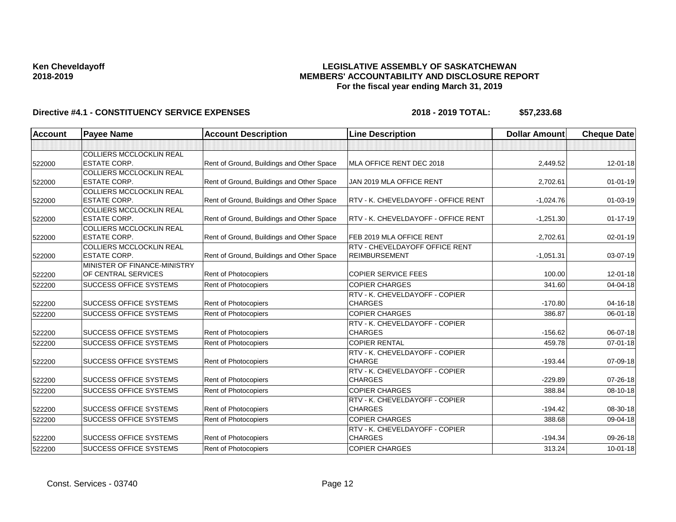### **LEGISLATIVE ASSEMBLY OF SASKATCHEWAN MEMBERS' ACCOUNTABILITY AND DISCLOSURE REPORT For the fiscal year ending March 31, 2019**

| <b>Account</b> | <b>Payee Name</b>                                      | <b>Account Description</b>                | <b>Line Description</b>                                | <b>Dollar Amount</b> | <b>Cheque Date</b> |
|----------------|--------------------------------------------------------|-------------------------------------------|--------------------------------------------------------|----------------------|--------------------|
|                |                                                        |                                           |                                                        |                      |                    |
| 522000         | <b>COLLIERS MCCLOCKLIN REAL</b><br><b>ESTATE CORP.</b> | Rent of Ground, Buildings and Other Space | MLA OFFICE RENT DEC 2018                               | 2,449.52             | 12-01-18           |
| 522000         | <b>COLLIERS MCCLOCKLIN REAL</b><br><b>ESTATE CORP.</b> | Rent of Ground, Buildings and Other Space | JAN 2019 MLA OFFICE RENT                               | 2,702.61             | $01 - 01 - 19$     |
| 522000         | <b>COLLIERS MCCLOCKLIN REAL</b><br><b>ESTATE CORP.</b> | Rent of Ground, Buildings and Other Space | <b>RTV - K. CHEVELDAYOFF - OFFICE RENT</b>             | $-1,024.76$          | $01 - 03 - 19$     |
| 522000         | <b>COLLIERS MCCLOCKLIN REAL</b><br><b>ESTATE CORP.</b> | Rent of Ground, Buildings and Other Space | RTV - K. CHEVELDAYOFF - OFFICE RENT                    | $-1,251.30$          | $01 - 17 - 19$     |
| 522000         | <b>COLLIERS MCCLOCKLIN REAL</b><br>IESTATE CORP.       | Rent of Ground, Buildings and Other Space | FEB 2019 MLA OFFICE RENT                               | 2,702.61             | $02 - 01 - 19$     |
| 522000         | <b>COLLIERS MCCLOCKLIN REAL</b><br><b>ESTATE CORP.</b> | Rent of Ground, Buildings and Other Space | RTV - CHEVELDAYOFF OFFICE RENT<br><b>REIMBURSEMENT</b> | $-1,051.31$          | 03-07-19           |
| 522200         | MINISTER OF FINANCE-MINISTRY<br>OF CENTRAL SERVICES    | Rent of Photocopiers                      | <b>COPIER SERVICE FEES</b>                             | 100.00               | $12 - 01 - 18$     |
| 522200         | <b>SUCCESS OFFICE SYSTEMS</b>                          | Rent of Photocopiers                      | <b>COPIER CHARGES</b>                                  | 341.60               | 04-04-18           |
| 522200         | <b>SUCCESS OFFICE SYSTEMS</b>                          | <b>Rent of Photocopiers</b>               | RTV - K. CHEVELDAYOFF - COPIER<br><b>CHARGES</b>       | $-170.80$            | $04 - 16 - 18$     |
| 522200         | <b>SUCCESS OFFICE SYSTEMS</b>                          | <b>Rent of Photocopiers</b>               | <b>COPIER CHARGES</b>                                  | 386.87               | 06-01-18           |
| 522200         | <b>SUCCESS OFFICE SYSTEMS</b>                          | Rent of Photocopiers                      | RTV - K. CHEVELDAYOFF - COPIER<br><b>CHARGES</b>       | $-156.62$            | 06-07-18           |
| 522200         | <b>SUCCESS OFFICE SYSTEMS</b>                          | Rent of Photocopiers                      | <b>COPIER RENTAL</b>                                   | 459.78               | $07 - 01 - 18$     |
| 522200         | <b>SUCCESS OFFICE SYSTEMS</b>                          | Rent of Photocopiers                      | RTV - K. CHEVELDAYOFF - COPIER<br><b>CHARGE</b>        | $-193.44$            | 07-09-18           |
| 522200         | <b>SUCCESS OFFICE SYSTEMS</b>                          | <b>Rent of Photocopiers</b>               | RTV - K. CHEVELDAYOFF - COPIER<br><b>CHARGES</b>       | $-229.89$            | 07-26-18           |
| 522200         | <b>SUCCESS OFFICE SYSTEMS</b>                          | Rent of Photocopiers                      | <b>COPIER CHARGES</b>                                  | 388.84               | 08-10-18           |
| 522200         | <b>SUCCESS OFFICE SYSTEMS</b>                          | Rent of Photocopiers                      | RTV - K. CHEVELDAYOFF - COPIER<br><b>CHARGES</b>       | $-194.42$            | 08-30-18           |
| 522200         | <b>SUCCESS OFFICE SYSTEMS</b>                          | Rent of Photocopiers                      | <b>COPIER CHARGES</b>                                  | 388.68               | 09-04-18           |
| 522200         | <b>SUCCESS OFFICE SYSTEMS</b>                          | Rent of Photocopiers                      | RTV - K. CHEVELDAYOFF - COPIER<br><b>CHARGES</b>       | $-194.34$            | 09-26-18           |
| 522200         | <b>SUCCESS OFFICE SYSTEMS</b>                          | Rent of Photocopiers                      | <b>COPIER CHARGES</b>                                  | 313.24               | $10 - 01 - 18$     |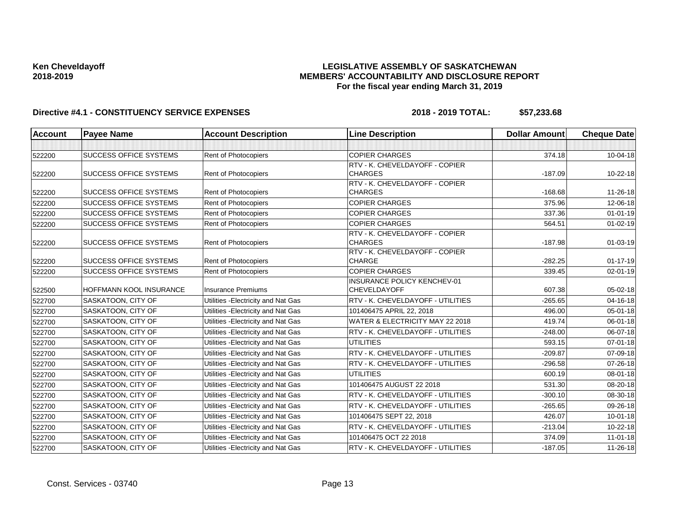### **LEGISLATIVE ASSEMBLY OF SASKATCHEWAN MEMBERS' ACCOUNTABILITY AND DISCLOSURE REPORT For the fiscal year ending March 31, 2019**

| Account | <b>Payee Name</b>             | <b>Account Description</b>          | <b>Line Description</b>                                     | <b>Dollar Amount</b> | <b>Cheque Date</b> |
|---------|-------------------------------|-------------------------------------|-------------------------------------------------------------|----------------------|--------------------|
|         |                               |                                     |                                                             |                      |                    |
| 522200  | <b>SUCCESS OFFICE SYSTEMS</b> | Rent of Photocopiers                | <b>COPIER CHARGES</b>                                       | 374.18               | 10-04-18           |
|         |                               |                                     | RTV - K. CHEVELDAYOFF - COPIER                              |                      |                    |
| 522200  | <b>SUCCESS OFFICE SYSTEMS</b> | Rent of Photocopiers                | <b>CHARGES</b>                                              | $-187.09$            | 10-22-18           |
|         |                               |                                     | RTV - K. CHEVELDAYOFF - COPIER                              |                      |                    |
| 522200  | <b>SUCCESS OFFICE SYSTEMS</b> | Rent of Photocopiers                | <b>CHARGES</b>                                              | $-168.68$            | 11-26-18           |
| 522200  | <b>SUCCESS OFFICE SYSTEMS</b> | Rent of Photocopiers                | <b>COPIER CHARGES</b>                                       | 375.96               | 12-06-18           |
| 522200  | <b>SUCCESS OFFICE SYSTEMS</b> | Rent of Photocopiers                | <b>COPIER CHARGES</b>                                       | 337.36               | $01 - 01 - 19$     |
| 522200  | <b>SUCCESS OFFICE SYSTEMS</b> | Rent of Photocopiers                | <b>COPIER CHARGES</b>                                       | 564.51               | $01 - 02 - 19$     |
|         |                               |                                     | RTV - K. CHEVELDAYOFF - COPIER                              |                      |                    |
| 522200  | <b>SUCCESS OFFICE SYSTEMS</b> | Rent of Photocopiers                | <b>CHARGES</b>                                              | $-187.98$            | $01 - 03 - 19$     |
|         | <b>SUCCESS OFFICE SYSTEMS</b> | <b>Rent of Photocopiers</b>         | RTV - K. CHEVELDAYOFF - COPIER<br><b>CHARGE</b>             | $-282.25$            | $01 - 17 - 19$     |
| 522200  |                               |                                     |                                                             |                      |                    |
| 522200  | <b>SUCCESS OFFICE SYSTEMS</b> | Rent of Photocopiers                | <b>COPIER CHARGES</b><br><b>INSURANCE POLICY KENCHEV-01</b> | 339.45               | 02-01-19           |
| 522500  | HOFFMANN KOOL INSURANCE       | <b>Insurance Premiums</b>           | <b>CHEVELDAYOFF</b>                                         | 607.38               | 05-02-18           |
| 522700  | <b>SASKATOON, CITY OF</b>     | Utilities - Electricity and Nat Gas | RTV - K. CHEVELDAYOFF - UTILITIES                           | $-265.65$            | 04-16-18           |
| 522700  | SASKATOON, CITY OF            | Utilities - Electricity and Nat Gas | 101406475 APRIL 22, 2018                                    | 496.00               | 05-01-18           |
| 522700  | SASKATOON, CITY OF            | Utilities - Electricity and Nat Gas | WATER & ELECTRICITY MAY 22 2018                             | 419.74               | 06-01-18           |
| 522700  | SASKATOON, CITY OF            | Utilities - Electricity and Nat Gas | RTV - K. CHEVELDAYOFF - UTILITIES                           | $-248.00$            | 06-07-18           |
| 522700  | SASKATOON, CITY OF            | Utilities - Electricity and Nat Gas | <b>UTILITIES</b>                                            | 593.15               | 07-01-18           |
| 522700  | SASKATOON, CITY OF            | Utilities - Electricity and Nat Gas | RTV - K. CHEVELDAYOFF - UTILITIES                           | $-209.87$            | 07-09-18           |
| 522700  | SASKATOON, CITY OF            | Utilities - Electricity and Nat Gas | RTV - K. CHEVELDAYOFF - UTILITIES                           | $-296.58$            | 07-26-18           |
| 522700  | SASKATOON, CITY OF            | Utilities - Electricity and Nat Gas | <b>UTILITIES</b>                                            | 600.19               | 08-01-18           |
| 522700  | SASKATOON, CITY OF            | Utilities - Electricity and Nat Gas | 101406475 AUGUST 22 2018                                    | 531.30               | 08-20-18           |
| 522700  | SASKATOON, CITY OF            | Utilities - Electricity and Nat Gas | RTV - K. CHEVELDAYOFF - UTILITIES                           | $-300.10$            | 08-30-18           |
| 522700  | SASKATOON, CITY OF            | Utilities - Electricity and Nat Gas | RTV - K. CHEVELDAYOFF - UTILITIES                           | $-265.65$            | 09-26-18           |
| 522700  | SASKATOON, CITY OF            | Utilities - Electricity and Nat Gas | 101406475 SEPT 22, 2018                                     | 426.07               | $10 - 01 - 18$     |
| 522700  | SASKATOON, CITY OF            | Utilities - Electricity and Nat Gas | RTV - K. CHEVELDAYOFF - UTILITIES                           | $-213.04$            | 10-22-18           |
| 522700  | SASKATOON, CITY OF            | Utilities - Electricity and Nat Gas | 101406475 OCT 22 2018                                       | 374.09               | $11 - 01 - 18$     |
| 522700  | SASKATOON, CITY OF            | Utilities - Electricity and Nat Gas | RTV - K. CHEVELDAYOFF - UTILITIES                           | $-187.05$            | 11-26-18           |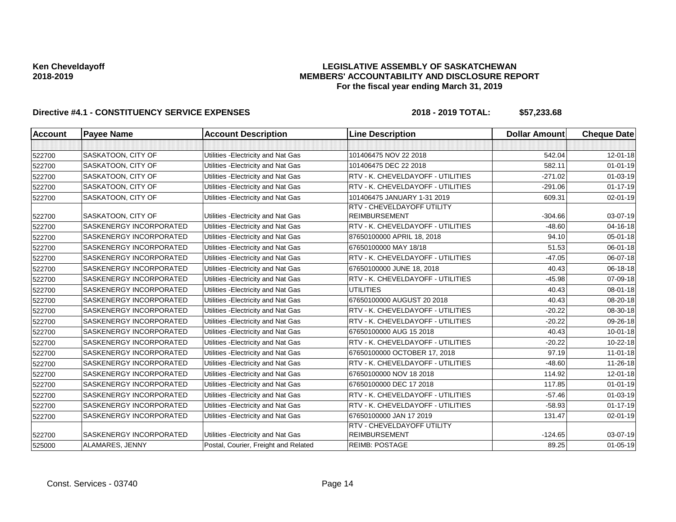### **LEGISLATIVE ASSEMBLY OF SASKATCHEWAN MEMBERS' ACCOUNTABILITY AND DISCLOSURE REPORT For the fiscal year ending March 31, 2019**

| <b>Account</b> | <b>Payee Name</b>       | <b>Account Description</b>           | <b>Line Description</b>                                   | <b>Dollar Amount</b> | <b>Cheque Date</b> |
|----------------|-------------------------|--------------------------------------|-----------------------------------------------------------|----------------------|--------------------|
|                |                         |                                      |                                                           |                      |                    |
| 522700         | SASKATOON, CITY OF      | Utilities - Electricity and Nat Gas  | 101406475 NOV 22 2018                                     | 542.04               | 12-01-18           |
| 522700         | SASKATOON, CITY OF      | Utilities - Electricity and Nat Gas  | 101406475 DEC 22 2018                                     | 582.11               | $01 - 01 - 19$     |
| 522700         | SASKATOON, CITY OF      | Utilities - Electricity and Nat Gas  | RTV - K. CHEVELDAYOFF - UTILITIES                         | $-271.02$            | $01 - 03 - 19$     |
| 522700         | SASKATOON, CITY OF      | Utilities - Electricity and Nat Gas  | RTV - K. CHEVELDAYOFF - UTILITIES                         | $-291.06$            | $01 - 17 - 19$     |
| 522700         | SASKATOON, CITY OF      | Utilities - Electricity and Nat Gas  | 101406475 JANUARY 1-31 2019                               | 609.31               | $02 - 01 - 19$     |
| 522700         | SASKATOON, CITY OF      | Utilities - Electricity and Nat Gas  | RTV - CHEVELDAYOFF UTILITY<br><b>REIMBURSEMENT</b>        | $-304.66$            | 03-07-19           |
| 522700         | SASKENERGY INCORPORATED | Utilities - Electricity and Nat Gas  | RTV - K. CHEVELDAYOFF - UTILITIES                         | $-48.60$             | 04-16-18           |
| 522700         | SASKENERGY INCORPORATED | Utilities - Electricity and Nat Gas  | 87650100000 APRIL 18, 2018                                | 94.10                | 05-01-18           |
| 522700         | SASKENERGY INCORPORATED | Utilities - Electricity and Nat Gas  | 67650100000 MAY 18/18                                     | 51.53                | $06 - 01 - 18$     |
| 522700         | SASKENERGY INCORPORATED | Utilities - Electricity and Nat Gas  | RTV - K. CHEVELDAYOFF - UTILITIES                         | $-47.05$             | 06-07-18           |
| 522700         | SASKENERGY INCORPORATED | Utilities - Electricity and Nat Gas  | 67650100000 JUNE 18, 2018                                 | 40.43                | 06-18-18           |
| 522700         | SASKENERGY INCORPORATED | Utilities - Electricity and Nat Gas  | RTV - K. CHEVELDAYOFF - UTILITIES                         | $-45.98$             | 07-09-18           |
| 522700         | SASKENERGY INCORPORATED | Utilities - Electricity and Nat Gas  | <b>UTILITIES</b>                                          | 40.43                | 08-01-18           |
| 522700         | SASKENERGY INCORPORATED | Utilities - Electricity and Nat Gas  | 67650100000 AUGUST 20 2018                                | 40.43                | 08-20-18           |
| 522700         | SASKENERGY INCORPORATED | Utilities - Electricity and Nat Gas  | RTV - K. CHEVELDAYOFF - UTILITIES                         | $-20.22$             | 08-30-18           |
| 522700         | SASKENERGY INCORPORATED | Utilities - Electricity and Nat Gas  | RTV - K. CHEVELDAYOFF - UTILITIES                         | $-20.22$             | 09-26-18           |
| 522700         | SASKENERGY INCORPORATED | Utilities - Electricity and Nat Gas  | 67650100000 AUG 15 2018                                   | 40.43                | $10 - 01 - 18$     |
| 522700         | SASKENERGY INCORPORATED | Utilities - Electricity and Nat Gas  | RTV - K. CHEVELDAYOFF - UTILITIES                         | $-20.22$             | 10-22-18           |
| 522700         | SASKENERGY INCORPORATED | Utilities - Electricity and Nat Gas  | 67650100000 OCTOBER 17, 2018                              | 97.19                | $11 - 01 - 18$     |
| 522700         | SASKENERGY INCORPORATED | Utilities - Electricity and Nat Gas  | RTV - K. CHEVELDAYOFF - UTILITIES                         | $-48.60$             | 11-26-18           |
| 522700         | SASKENERGY INCORPORATED | Utilities - Electricity and Nat Gas  | 67650100000 NOV 18 2018                                   | 114.92               | $12 - 01 - 18$     |
| 522700         | SASKENERGY INCORPORATED | Utilities - Electricity and Nat Gas  | 67650100000 DEC 17 2018                                   | 117.85               | $01 - 01 - 19$     |
| 522700         | SASKENERGY INCORPORATED | Utilities - Electricity and Nat Gas  | RTV - K. CHEVELDAYOFF - UTILITIES                         | $-57.46$             | $01-03-19$         |
| 522700         | SASKENERGY INCORPORATED | Utilities - Electricity and Nat Gas  | RTV - K. CHEVELDAYOFF - UTILITIES                         | $-58.93$             | $01 - 17 - 19$     |
| 522700         | SASKENERGY INCORPORATED | Utilities - Electricity and Nat Gas  | 67650100000 JAN 17 2019                                   | 131.47               | 02-01-19           |
| 522700         | SASKENERGY INCORPORATED | Utilities - Electricity and Nat Gas  | <b>RTV - CHEVELDAYOFF UTILITY</b><br><b>REIMBURSEMENT</b> | $-124.65$            | 03-07-19           |
| 525000         | ALAMARES, JENNY         | Postal, Courier, Freight and Related | <b>REIMB: POSTAGE</b>                                     | 89.25                | $01 - 05 - 19$     |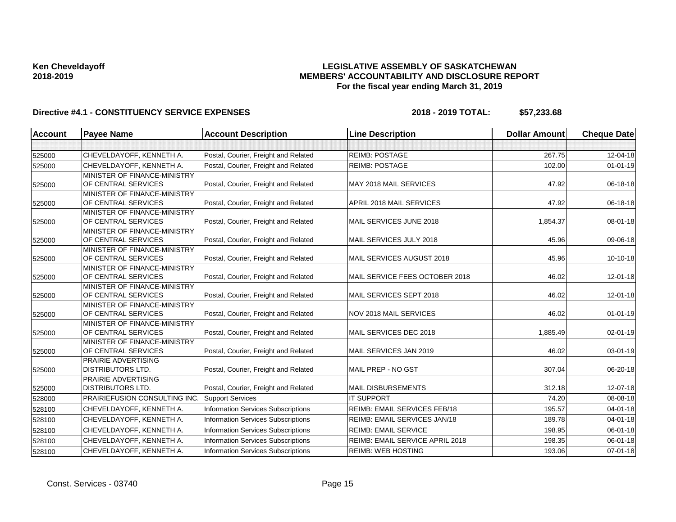### **LEGISLATIVE ASSEMBLY OF SASKATCHEWAN MEMBERS' ACCOUNTABILITY AND DISCLOSURE REPORT For the fiscal year ending March 31, 2019**

| Postal, Courier, Freight and Related<br><b>REIMB: POSTAGE</b><br>267.75<br>CHEVELDAYOFF, KENNETH A.<br>525000<br>CHEVELDAYOFF, KENNETH A.<br>Postal, Courier, Freight and Related<br><b>REIMB: POSTAGE</b><br>102.00<br>525000<br>MINISTER OF FINANCE-MINISTRY<br>OF CENTRAL SERVICES<br>Postal, Courier, Freight and Related<br>MAY 2018 MAIL SERVICES<br>47.92<br>525000<br>MINISTER OF FINANCE-MINISTRY<br>Postal, Courier, Freight and Related<br>OF CENTRAL SERVICES<br><b>APRIL 2018 MAIL SERVICES</b><br>47.92<br>525000<br>MINISTER OF FINANCE-MINISTRY<br>OF CENTRAL SERVICES<br>Postal, Courier, Freight and Related<br>MAIL SERVICES JUNE 2018<br>1.854.37<br>525000<br>MINISTER OF FINANCE-MINISTRY<br>Postal, Courier, Freight and Related<br>OF CENTRAL SERVICES<br>MAIL SERVICES JULY 2018<br>45.96<br>525000<br><b>MINISTER OF FINANCE-MINISTRY</b><br>OF CENTRAL SERVICES<br>Postal, Courier, Freight and Related<br>MAIL SERVICES AUGUST 2018<br>45.96<br>525000<br>MINISTER OF FINANCE-MINISTRY<br>MAIL SERVICE FEES OCTOBER 2018<br>OF CENTRAL SERVICES<br>Postal, Courier, Freight and Related<br>46.02<br>525000<br>MINISTER OF FINANCE-MINISTRY<br>OF CENTRAL SERVICES<br>Postal, Courier, Freight and Related<br>MAIL SERVICES SEPT 2018<br>46.02<br>525000<br><b>MINISTER OF FINANCE-MINISTRY</b><br>Postal, Courier, Freight and Related<br>NOV 2018 MAIL SERVICES<br>OF CENTRAL SERVICES<br>46.02<br>525000<br>MINISTER OF FINANCE-MINISTRY<br>OF CENTRAL SERVICES<br>Postal, Courier, Freight and Related<br>MAIL SERVICES DEC 2018<br>1,885.49<br>525000 | <b>Cheque Date</b> |
|---------------------------------------------------------------------------------------------------------------------------------------------------------------------------------------------------------------------------------------------------------------------------------------------------------------------------------------------------------------------------------------------------------------------------------------------------------------------------------------------------------------------------------------------------------------------------------------------------------------------------------------------------------------------------------------------------------------------------------------------------------------------------------------------------------------------------------------------------------------------------------------------------------------------------------------------------------------------------------------------------------------------------------------------------------------------------------------------------------------------------------------------------------------------------------------------------------------------------------------------------------------------------------------------------------------------------------------------------------------------------------------------------------------------------------------------------------------------------------------------------------------------------------------------------------------------------------------|--------------------|
|                                                                                                                                                                                                                                                                                                                                                                                                                                                                                                                                                                                                                                                                                                                                                                                                                                                                                                                                                                                                                                                                                                                                                                                                                                                                                                                                                                                                                                                                                                                                                                                       |                    |
|                                                                                                                                                                                                                                                                                                                                                                                                                                                                                                                                                                                                                                                                                                                                                                                                                                                                                                                                                                                                                                                                                                                                                                                                                                                                                                                                                                                                                                                                                                                                                                                       | 12-04-18           |
|                                                                                                                                                                                                                                                                                                                                                                                                                                                                                                                                                                                                                                                                                                                                                                                                                                                                                                                                                                                                                                                                                                                                                                                                                                                                                                                                                                                                                                                                                                                                                                                       | $01 - 01 - 19$     |
|                                                                                                                                                                                                                                                                                                                                                                                                                                                                                                                                                                                                                                                                                                                                                                                                                                                                                                                                                                                                                                                                                                                                                                                                                                                                                                                                                                                                                                                                                                                                                                                       |                    |
|                                                                                                                                                                                                                                                                                                                                                                                                                                                                                                                                                                                                                                                                                                                                                                                                                                                                                                                                                                                                                                                                                                                                                                                                                                                                                                                                                                                                                                                                                                                                                                                       | 06-18-18           |
|                                                                                                                                                                                                                                                                                                                                                                                                                                                                                                                                                                                                                                                                                                                                                                                                                                                                                                                                                                                                                                                                                                                                                                                                                                                                                                                                                                                                                                                                                                                                                                                       |                    |
|                                                                                                                                                                                                                                                                                                                                                                                                                                                                                                                                                                                                                                                                                                                                                                                                                                                                                                                                                                                                                                                                                                                                                                                                                                                                                                                                                                                                                                                                                                                                                                                       | 06-18-18           |
|                                                                                                                                                                                                                                                                                                                                                                                                                                                                                                                                                                                                                                                                                                                                                                                                                                                                                                                                                                                                                                                                                                                                                                                                                                                                                                                                                                                                                                                                                                                                                                                       |                    |
|                                                                                                                                                                                                                                                                                                                                                                                                                                                                                                                                                                                                                                                                                                                                                                                                                                                                                                                                                                                                                                                                                                                                                                                                                                                                                                                                                                                                                                                                                                                                                                                       | 08-01-18           |
|                                                                                                                                                                                                                                                                                                                                                                                                                                                                                                                                                                                                                                                                                                                                                                                                                                                                                                                                                                                                                                                                                                                                                                                                                                                                                                                                                                                                                                                                                                                                                                                       |                    |
|                                                                                                                                                                                                                                                                                                                                                                                                                                                                                                                                                                                                                                                                                                                                                                                                                                                                                                                                                                                                                                                                                                                                                                                                                                                                                                                                                                                                                                                                                                                                                                                       | 09-06-18           |
|                                                                                                                                                                                                                                                                                                                                                                                                                                                                                                                                                                                                                                                                                                                                                                                                                                                                                                                                                                                                                                                                                                                                                                                                                                                                                                                                                                                                                                                                                                                                                                                       | 10-10-18           |
|                                                                                                                                                                                                                                                                                                                                                                                                                                                                                                                                                                                                                                                                                                                                                                                                                                                                                                                                                                                                                                                                                                                                                                                                                                                                                                                                                                                                                                                                                                                                                                                       |                    |
|                                                                                                                                                                                                                                                                                                                                                                                                                                                                                                                                                                                                                                                                                                                                                                                                                                                                                                                                                                                                                                                                                                                                                                                                                                                                                                                                                                                                                                                                                                                                                                                       | 12-01-18           |
|                                                                                                                                                                                                                                                                                                                                                                                                                                                                                                                                                                                                                                                                                                                                                                                                                                                                                                                                                                                                                                                                                                                                                                                                                                                                                                                                                                                                                                                                                                                                                                                       |                    |
|                                                                                                                                                                                                                                                                                                                                                                                                                                                                                                                                                                                                                                                                                                                                                                                                                                                                                                                                                                                                                                                                                                                                                                                                                                                                                                                                                                                                                                                                                                                                                                                       | $12 - 01 - 18$     |
|                                                                                                                                                                                                                                                                                                                                                                                                                                                                                                                                                                                                                                                                                                                                                                                                                                                                                                                                                                                                                                                                                                                                                                                                                                                                                                                                                                                                                                                                                                                                                                                       |                    |
|                                                                                                                                                                                                                                                                                                                                                                                                                                                                                                                                                                                                                                                                                                                                                                                                                                                                                                                                                                                                                                                                                                                                                                                                                                                                                                                                                                                                                                                                                                                                                                                       | $01 - 01 - 19$     |
|                                                                                                                                                                                                                                                                                                                                                                                                                                                                                                                                                                                                                                                                                                                                                                                                                                                                                                                                                                                                                                                                                                                                                                                                                                                                                                                                                                                                                                                                                                                                                                                       |                    |
|                                                                                                                                                                                                                                                                                                                                                                                                                                                                                                                                                                                                                                                                                                                                                                                                                                                                                                                                                                                                                                                                                                                                                                                                                                                                                                                                                                                                                                                                                                                                                                                       | 02-01-19           |
| MINISTER OF FINANCE-MINISTRY                                                                                                                                                                                                                                                                                                                                                                                                                                                                                                                                                                                                                                                                                                                                                                                                                                                                                                                                                                                                                                                                                                                                                                                                                                                                                                                                                                                                                                                                                                                                                          |                    |
| OF CENTRAL SERVICES<br>Postal, Courier, Freight and Related<br>MAIL SERVICES JAN 2019<br>46.02<br>525000                                                                                                                                                                                                                                                                                                                                                                                                                                                                                                                                                                                                                                                                                                                                                                                                                                                                                                                                                                                                                                                                                                                                                                                                                                                                                                                                                                                                                                                                              | $03 - 01 - 19$     |
| <b>PRAIRIE ADVERTISING</b>                                                                                                                                                                                                                                                                                                                                                                                                                                                                                                                                                                                                                                                                                                                                                                                                                                                                                                                                                                                                                                                                                                                                                                                                                                                                                                                                                                                                                                                                                                                                                            |                    |
| <b>DISTRIBUTORS LTD.</b><br>MAIL PREP - NO GST<br>Postal, Courier, Freight and Related<br>307.04<br>525000                                                                                                                                                                                                                                                                                                                                                                                                                                                                                                                                                                                                                                                                                                                                                                                                                                                                                                                                                                                                                                                                                                                                                                                                                                                                                                                                                                                                                                                                            | 06-20-18           |
| <b>PRAIRIE ADVERTISING</b>                                                                                                                                                                                                                                                                                                                                                                                                                                                                                                                                                                                                                                                                                                                                                                                                                                                                                                                                                                                                                                                                                                                                                                                                                                                                                                                                                                                                                                                                                                                                                            |                    |
| <b>DISTRIBUTORS LTD.</b><br>Postal, Courier, Freight and Related<br><b>MAIL DISBURSEMENTS</b><br>312.18<br>525000                                                                                                                                                                                                                                                                                                                                                                                                                                                                                                                                                                                                                                                                                                                                                                                                                                                                                                                                                                                                                                                                                                                                                                                                                                                                                                                                                                                                                                                                     | 12-07-18           |
| <b>PRAIRIEFUSION CONSULTING INC.</b><br><b>IT SUPPORT</b><br>74.20<br><b>Support Services</b><br>528000                                                                                                                                                                                                                                                                                                                                                                                                                                                                                                                                                                                                                                                                                                                                                                                                                                                                                                                                                                                                                                                                                                                                                                                                                                                                                                                                                                                                                                                                               | 08-08-18           |
| CHEVELDAYOFF, KENNETH A.<br>Information Services Subscriptions<br><b>REIMB: EMAIL SERVICES FEB/18</b><br>195.57<br>528100                                                                                                                                                                                                                                                                                                                                                                                                                                                                                                                                                                                                                                                                                                                                                                                                                                                                                                                                                                                                                                                                                                                                                                                                                                                                                                                                                                                                                                                             | $04 - 01 - 18$     |
| CHEVELDAYOFF, KENNETH A.<br>Information Services Subscriptions<br>REIMB: EMAIL SERVICES JAN/18<br>189.78<br>528100                                                                                                                                                                                                                                                                                                                                                                                                                                                                                                                                                                                                                                                                                                                                                                                                                                                                                                                                                                                                                                                                                                                                                                                                                                                                                                                                                                                                                                                                    | 04-01-18           |
| <b>Information Services Subscriptions</b><br><b>REIMB: EMAIL SERVICE</b><br>198.95<br>CHEVELDAYOFF, KENNETH A.<br>528100                                                                                                                                                                                                                                                                                                                                                                                                                                                                                                                                                                                                                                                                                                                                                                                                                                                                                                                                                                                                                                                                                                                                                                                                                                                                                                                                                                                                                                                              | 06-01-18           |
| 198.35<br>CHEVELDAYOFF, KENNETH A.<br><b>Information Services Subscriptions</b><br>REIMB: EMAIL SERVICE APRIL 2018<br>528100                                                                                                                                                                                                                                                                                                                                                                                                                                                                                                                                                                                                                                                                                                                                                                                                                                                                                                                                                                                                                                                                                                                                                                                                                                                                                                                                                                                                                                                          | 06-01-18           |
| <b>Information Services Subscriptions</b><br><b>REIMB: WEB HOSTING</b><br>193.06<br>CHEVELDAYOFF, KENNETH A.<br>528100                                                                                                                                                                                                                                                                                                                                                                                                                                                                                                                                                                                                                                                                                                                                                                                                                                                                                                                                                                                                                                                                                                                                                                                                                                                                                                                                                                                                                                                                | $07 - 01 - 18$     |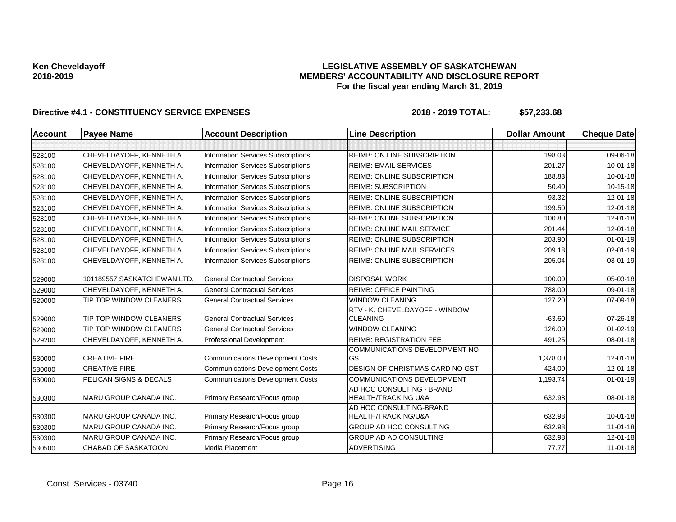### **LEGISLATIVE ASSEMBLY OF SASKATCHEWAN MEMBERS' ACCOUNTABILITY AND DISCLOSURE REPORT For the fiscal year ending March 31, 2019**

| <b>Account</b> | <b>Payee Name</b>             | <b>Account Description</b>                | <b>Line Description</b>                                     | <b>Dollar Amount</b> | <b>Cheque Date</b> |
|----------------|-------------------------------|-------------------------------------------|-------------------------------------------------------------|----------------------|--------------------|
|                |                               |                                           |                                                             |                      |                    |
| 528100         | CHEVELDAYOFF, KENNETH A.      | <b>Information Services Subscriptions</b> | <b>REIMB: ON LINE SUBSCRIPTION</b>                          | 198.03               | 09-06-18           |
| 528100         | CHEVELDAYOFF, KENNETH A.      | <b>Information Services Subscriptions</b> | <b>REIMB: EMAIL SERVICES</b>                                | 201.27               | $10 - 01 - 18$     |
| 528100         | CHEVELDAYOFF, KENNETH A.      | <b>Information Services Subscriptions</b> | <b>REIMB: ONLINE SUBSCRIPTION</b>                           | 188.83               | $10 - 01 - 18$     |
| 528100         | CHEVELDAYOFF, KENNETH A.      | <b>Information Services Subscriptions</b> | <b>REIMB: SUBSCRIPTION</b>                                  | 50.40                | 10-15-18           |
| 528100         | CHEVELDAYOFF, KENNETH A.      | <b>Information Services Subscriptions</b> | <b>REIMB: ONLINE SUBSCRIPTION</b>                           | 93.32                | 12-01-18           |
| 528100         | CHEVELDAYOFF, KENNETH A.      | <b>Information Services Subscriptions</b> | REIMB: ONLINE SUBSCRIPTION                                  | 199.50               | 12-01-18           |
| 528100         | CHEVELDAYOFF, KENNETH A.      | <b>Information Services Subscriptions</b> | <b>REIMB: ONLINE SUBSCRIPTION</b>                           | 100.80               | $12 - 01 - 18$     |
| 528100         | CHEVELDAYOFF, KENNETH A.      | <b>Information Services Subscriptions</b> | REIMB: ONLINE MAIL SERVICE                                  | 201.44               | $12 - 01 - 18$     |
| 528100         | CHEVELDAYOFF, KENNETH A.      | <b>Information Services Subscriptions</b> | <b>REIMB: ONLINE SUBSCRIPTION</b>                           | 203.90               | $01 - 01 - 19$     |
| 528100         | CHEVELDAYOFF, KENNETH A.      | Information Services Subscriptions        | REIMB: ONLINE MAIL SERVICES                                 | 209.18               | 02-01-19           |
| 528100         | CHEVELDAYOFF, KENNETH A.      | <b>Information Services Subscriptions</b> | REIMB: ONLINE SUBSCRIPTION                                  | 205.04               | 03-01-19           |
| 529000         | 101189557 SASKATCHEWAN LTD.   | <b>General Contractual Services</b>       | <b>DISPOSAL WORK</b>                                        | 100.00               | 05-03-18           |
| 529000         | CHEVELDAYOFF, KENNETH A.      | <b>General Contractual Services</b>       | <b>REIMB: OFFICE PAINTING</b>                               | 788.00               | 09-01-18           |
| 529000         | TIP TOP WINDOW CLEANERS       | <b>General Contractual Services</b>       | <b>WINDOW CLEANING</b>                                      | 127.20               | 07-09-18           |
|                |                               |                                           | RTV - K. CHEVELDAYOFF - WINDOW                              |                      |                    |
| 529000         | TIP TOP WINDOW CLEANERS       | <b>General Contractual Services</b>       | <b>CLEANING</b>                                             | $-63.60$             | 07-26-18           |
| 529000         | TIP TOP WINDOW CLEANERS       | <b>General Contractual Services</b>       | <b>WINDOW CLEANING</b>                                      | 126.00               | $01 - 02 - 19$     |
| 529200         | CHEVELDAYOFF, KENNETH A.      | Professional Development                  | <b>REIMB: REGISTRATION FEE</b>                              | 491.25               | 08-01-18           |
| 530000         | <b>CREATIVE FIRE</b>          | <b>Communications Development Costs</b>   | COMMUNICATIONS DEVELOPMENT NO<br><b>GST</b>                 | 1.378.00             | $12 - 01 - 18$     |
| 530000         | <b>CREATIVE FIRE</b>          | <b>Communications Development Costs</b>   | DESIGN OF CHRISTMAS CARD NO GST                             | 424.00               | 12-01-18           |
| 530000         | PELICAN SIGNS & DECALS        | <b>Communications Development Costs</b>   | <b>COMMUNICATIONS DEVELOPMENT</b>                           | 1,193.74             | $01 - 01 - 19$     |
| 530300         | <b>MARU GROUP CANADA INC.</b> | Primary Research/Focus group              | AD HOC CONSULTING - BRAND<br><b>HEALTH/TRACKING U&amp;A</b> | 632.98               | 08-01-18           |
| 530300         | <b>MARU GROUP CANADA INC.</b> | Primary Research/Focus group              | AD HOC CONSULTING-BRAND<br>HEALTH/TRACKING/U&A              | 632.98               | $10 - 01 - 18$     |
| 530300         | MARU GROUP CANADA INC.        | Primary Research/Focus group              | GROUP AD HOC CONSULTING                                     | 632.98               | 11-01-18           |
| 530300         | MARU GROUP CANADA INC.        | Primary Research/Focus group              | GROUP AD AD CONSULTING                                      | 632.98               | 12-01-18           |
| 530500         | <b>CHABAD OF SASKATOON</b>    | Media Placement                           | <b>ADVERTISING</b>                                          | 77.77                | $11 - 01 - 18$     |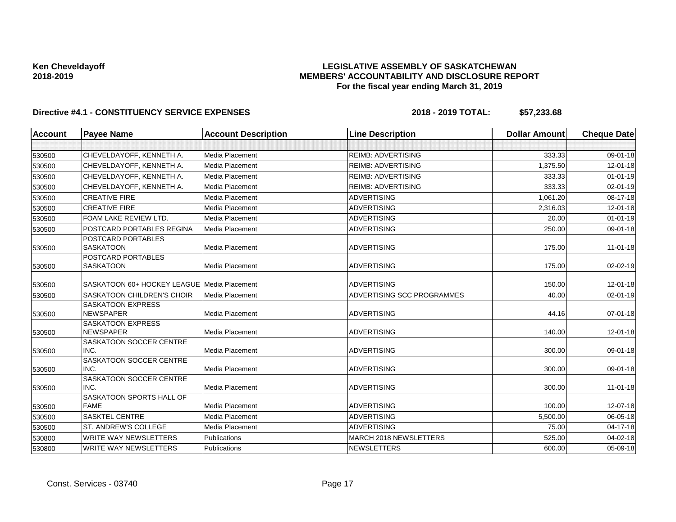### **LEGISLATIVE ASSEMBLY OF SASKATCHEWAN MEMBERS' ACCOUNTABILITY AND DISCLOSURE REPORT For the fiscal year ending March 31, 2019**

| <b>Account</b> | <b>Payee Name</b>                            | <b>Account Description</b> | <b>Line Description</b>    | <b>Dollar Amount</b> | <b>Cheque Date</b> |
|----------------|----------------------------------------------|----------------------------|----------------------------|----------------------|--------------------|
|                |                                              |                            |                            |                      |                    |
| 530500         | CHEVELDAYOFF, KENNETH A.                     | Media Placement            | <b>REIMB: ADVERTISING</b>  | 333.33               | 09-01-18           |
| 530500         | CHEVELDAYOFF, KENNETH A.                     | Media Placement            | <b>REIMB: ADVERTISING</b>  | 1,375.50             | 12-01-18           |
| 530500         | CHEVELDAYOFF, KENNETH A.                     | Media Placement            | <b>REIMB: ADVERTISING</b>  | 333.33               | $01 - 01 - 19$     |
| 530500         | CHEVELDAYOFF, KENNETH A.                     | Media Placement            | <b>REIMB: ADVERTISING</b>  | 333.33               | 02-01-19           |
| 530500         | <b>CREATIVE FIRE</b>                         | Media Placement            | <b>ADVERTISING</b>         | 1,061.20             | 08-17-18           |
| 530500         | <b>CREATIVE FIRE</b>                         | Media Placement            | <b>ADVERTISING</b>         | 2,316.03             | 12-01-18           |
| 530500         | FOAM LAKE REVIEW LTD.                        | Media Placement            | <b>ADVERTISING</b>         | 20.00                | $01 - 01 - 19$     |
| 530500         | POSTCARD PORTABLES REGINA                    | Media Placement            | <b>ADVERTISING</b>         | 250.00               | 09-01-18           |
| 530500         | POSTCARD PORTABLES<br><b>SASKATOON</b>       | Media Placement            | <b>ADVERTISING</b>         | 175.00               | $11-01-18$         |
| 530500         | POSTCARD PORTABLES<br><b>SASKATOON</b>       | Media Placement            | <b>ADVERTISING</b>         | 175.00               | 02-02-19           |
| 530500         | SASKATOON 60+ HOCKEY LEAGUE Media Placement  |                            | <b>ADVERTISING</b>         | 150.00               | 12-01-18           |
| 530500         | <b>SASKATOON CHILDREN'S CHOIR</b>            | Media Placement            | ADVERTISING SCC PROGRAMMES | 40.00                | 02-01-19           |
| 530500         | <b>SASKATOON EXPRESS</b><br><b>NEWSPAPER</b> | Media Placement            | <b>ADVERTISING</b>         | 44.16                | 07-01-18           |
| 530500         | <b>SASKATOON EXPRESS</b><br><b>NEWSPAPER</b> | Media Placement            | <b>ADVERTISING</b>         | 140.00               | 12-01-18           |
| 530500         | SASKATOON SOCCER CENTRE<br>INC.              | Media Placement            | <b>ADVERTISING</b>         | 300.00               | 09-01-18           |
| 530500         | SASKATOON SOCCER CENTRE<br>INC.              | Media Placement            | <b>ADVERTISING</b>         | 300.00               | 09-01-18           |
| 530500         | SASKATOON SOCCER CENTRE<br>INC.              | Media Placement            | <b>ADVERTISING</b>         | 300.00               | $11-01-18$         |
| 530500         | SASKATOON SPORTS HALL OF<br><b>FAME</b>      | Media Placement            | <b>ADVERTISING</b>         | 100.00               | 12-07-18           |
| 530500         | <b>SASKTEL CENTRE</b>                        | Media Placement            | <b>ADVERTISING</b>         | 5,500.00             | 06-05-18           |
| 530500         | ST. ANDREW'S COLLEGE                         | Media Placement            | <b>ADVERTISING</b>         | 75.00                | $04 - 17 - 18$     |
| 530800         | <b>WRITE WAY NEWSLETTERS</b>                 | Publications               | MARCH 2018 NEWSLETTERS     | 525.00               | 04-02-18           |
| 530800         | <b>WRITE WAY NEWSLETTERS</b>                 | Publications               | <b>NEWSLETTERS</b>         | 600.00               | 05-09-18           |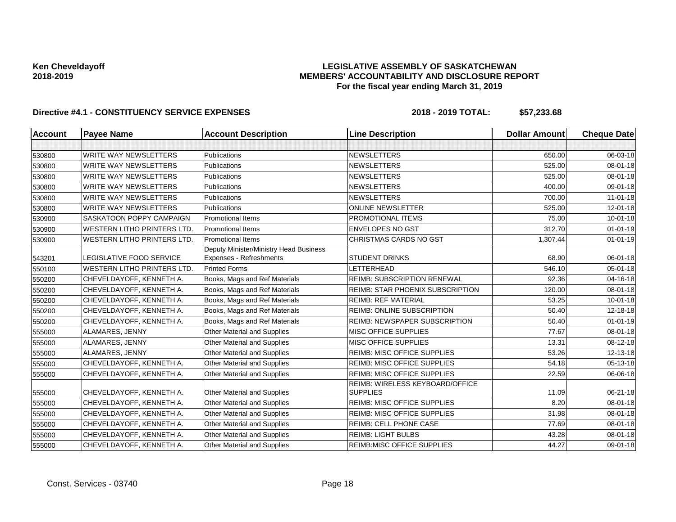### **LEGISLATIVE ASSEMBLY OF SASKATCHEWAN MEMBERS' ACCOUNTABILITY AND DISCLOSURE REPORT For the fiscal year ending March 31, 2019**

| <b>Account</b> | <b>Payee Name</b>                  | <b>Account Description</b>                                        | <b>Line Description</b>                            | <b>Dollar Amount</b> | <b>Cheque Date</b> |
|----------------|------------------------------------|-------------------------------------------------------------------|----------------------------------------------------|----------------------|--------------------|
|                |                                    |                                                                   |                                                    |                      |                    |
| 530800         | <b>WRITE WAY NEWSLETTERS</b>       | <b>Publications</b>                                               | <b>NEWSLETTERS</b>                                 | 650.00               | 06-03-18           |
| 530800         | <b>WRITE WAY NEWSLETTERS</b>       | Publications                                                      | <b>NEWSLETTERS</b>                                 | 525.00               | 08-01-18           |
| 530800         | <b>WRITE WAY NEWSLETTERS</b>       | Publications                                                      | <b>NEWSLETTERS</b>                                 | 525.00               | 08-01-18           |
| 530800         | <b>WRITE WAY NEWSLETTERS</b>       | <b>Publications</b>                                               | <b>NEWSLETTERS</b>                                 | 400.00               | 09-01-18           |
| 530800         | <b>WRITE WAY NEWSLETTERS</b>       | Publications                                                      | <b>NEWSLETTERS</b>                                 | 700.00               | $11 - 01 - 18$     |
| 530800         | <b>WRITE WAY NEWSLETTERS</b>       | <b>Publications</b>                                               | <b>ONLINE NEWSLETTER</b>                           | 525.00               | 12-01-18           |
| 530900         | SASKATOON POPPY CAMPAIGN           | <b>Promotional Items</b>                                          | PROMOTIONAL ITEMS                                  | 75.00                | $10 - 01 - 18$     |
| 530900         | <b>WESTERN LITHO PRINTERS LTD.</b> | <b>Promotional Items</b>                                          | <b>ENVELOPES NO GST</b>                            | 312.70               | $01 - 01 - 19$     |
| 530900         | <b>WESTERN LITHO PRINTERS LTD.</b> | <b>Promotional Items</b>                                          | CHRISTMAS CARDS NO GST                             | 1,307.44             | $01 - 01 - 19$     |
| 543201         | LEGISLATIVE FOOD SERVICE           | Deputy Minister/Ministry Head Business<br>Expenses - Refreshments | <b>STUDENT DRINKS</b>                              | 68.90                | 06-01-18           |
| 550100         | <b>WESTERN LITHO PRINTERS LTD.</b> | <b>Printed Forms</b>                                              | LETTERHEAD                                         | 546.10               | 05-01-18           |
| 550200         | CHEVELDAYOFF, KENNETH A.           | Books, Mags and Ref Materials                                     | <b>REIMB: SUBSCRIPTION RENEWAL</b>                 | 92.36                | 04-16-18           |
| 550200         | CHEVELDAYOFF, KENNETH A.           | Books, Mags and Ref Materials                                     | <b>REIMB: STAR PHOENIX SUBSCRIPTION</b>            | 120.00               | $08 - 01 - 18$     |
| 550200         | CHEVELDAYOFF, KENNETH A.           | Books, Mags and Ref Materials                                     | <b>REIMB: REF MATERIAL</b>                         | 53.25                | $10 - 01 - 18$     |
| 550200         | CHEVELDAYOFF, KENNETH A.           | Books, Mags and Ref Materials                                     | <b>REIMB: ONLINE SUBSCRIPTION</b>                  | 50.40                | 12-18-18           |
| 550200         | CHEVELDAYOFF, KENNETH A.           | Books, Mags and Ref Materials                                     | <b>REIMB: NEWSPAPER SUBSCRIPTION</b>               | 50.40                | $01 - 01 - 19$     |
| 555000         | ALAMARES, JENNY                    | Other Material and Supplies                                       | MISC OFFICE SUPPLIES                               | 77.67                | 08-01-18           |
| 555000         | ALAMARES, JENNY                    | <b>Other Material and Supplies</b>                                | MISC OFFICE SUPPLIES                               | 13.31                | 08-12-18           |
| 555000         | ALAMARES, JENNY                    | Other Material and Supplies                                       | <b>REIMB: MISC OFFICE SUPPLIES</b>                 | 53.26                | 12-13-18           |
| 555000         | CHEVELDAYOFF, KENNETH A.           | Other Material and Supplies                                       | <b>REIMB: MISC OFFICE SUPPLIES</b>                 | 54.18                | $05 - 13 - 18$     |
| 555000         | CHEVELDAYOFF, KENNETH A.           | Other Material and Supplies                                       | <b>REIMB: MISC OFFICE SUPPLIES</b>                 | 22.59                | 06-06-18           |
| 555000         | CHEVELDAYOFF, KENNETH A.           | Other Material and Supplies                                       | REIMB: WIRELESS KEYBOARD/OFFICE<br><b>SUPPLIES</b> | 11.09                | 06-21-18           |
| 555000         | CHEVELDAYOFF, KENNETH A.           | Other Material and Supplies                                       | <b>REIMB: MISC OFFICE SUPPLIES</b>                 | 8.20                 | 08-01-18           |
| 555000         | CHEVELDAYOFF, KENNETH A.           | <b>Other Material and Supplies</b>                                | <b>REIMB: MISC OFFICE SUPPLIES</b>                 | 31.98                | 08-01-18           |
| 555000         | CHEVELDAYOFF, KENNETH A.           | Other Material and Supplies                                       | REIMB: CELL PHONE CASE                             | 77.69                | 08-01-18           |
| 555000         | CHEVELDAYOFF, KENNETH A.           | Other Material and Supplies                                       | <b>REIMB: LIGHT BULBS</b>                          | 43.28                | 08-01-18           |
| 555000         | CHEVELDAYOFF, KENNETH A.           | Other Material and Supplies                                       | <b>REIMB:MISC OFFICE SUPPLIES</b>                  | 44.27                | 09-01-18           |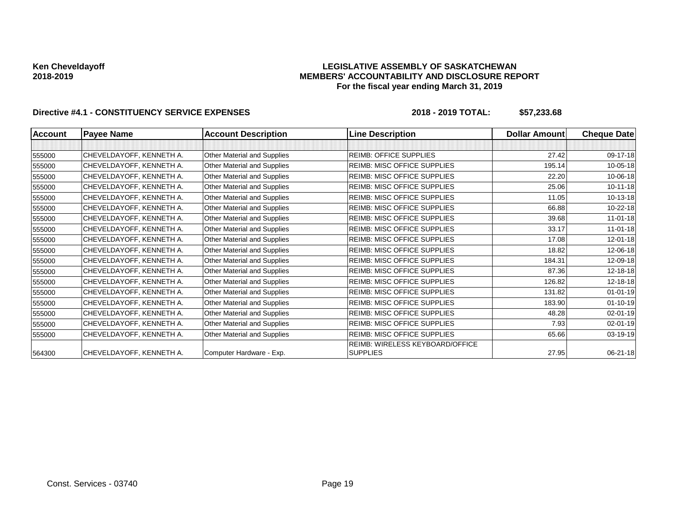### **LEGISLATIVE ASSEMBLY OF SASKATCHEWAN MEMBERS' ACCOUNTABILITY AND DISCLOSURE REPORT For the fiscal year ending March 31, 2019**

| <b>Account</b> | <b>Payee Name</b>        | <b>Account Description</b>  | <b>Line Description</b>            | <b>Dollar Amountl</b> | <b>Cheque Date</b> |
|----------------|--------------------------|-----------------------------|------------------------------------|-----------------------|--------------------|
|                |                          |                             |                                    |                       |                    |
| 555000         | CHEVELDAYOFF, KENNETH A. | Other Material and Supplies | <b>REIMB: OFFICE SUPPLIES</b>      | 27.42                 | 09-17-18           |
| 555000         | CHEVELDAYOFF, KENNETH A. | Other Material and Supplies | <b>REIMB: MISC OFFICE SUPPLIES</b> | 195.14                | 10-05-18           |
| 555000         | CHEVELDAYOFF, KENNETH A. | Other Material and Supplies | <b>REIMB: MISC OFFICE SUPPLIES</b> | 22.20                 | 10-06-18           |
| 555000         | CHEVELDAYOFF, KENNETH A. | Other Material and Supplies | <b>REIMB: MISC OFFICE SUPPLIES</b> | 25.06                 | $10-11-18$         |
| 555000         | CHEVELDAYOFF, KENNETH A. | Other Material and Supplies | <b>REIMB: MISC OFFICE SUPPLIES</b> | 11.05                 | 10-13-18           |
| 555000         | CHEVELDAYOFF, KENNETH A. | Other Material and Supplies | <b>REIMB: MISC OFFICE SUPPLIES</b> | 66.88                 | 10-22-18           |
| 555000         | CHEVELDAYOFF, KENNETH A. | Other Material and Supplies | <b>REIMB: MISC OFFICE SUPPLIES</b> | 39.68                 | $11-01-18$         |
| 555000         | CHEVELDAYOFF, KENNETH A. | Other Material and Supplies | <b>REIMB: MISC OFFICE SUPPLIES</b> | 33.17                 | $11 - 01 - 18$     |
| 555000         | CHEVELDAYOFF, KENNETH A. | Other Material and Supplies | <b>REIMB: MISC OFFICE SUPPLIES</b> | 17.08                 | 12-01-18           |
| 555000         | CHEVELDAYOFF, KENNETH A. | Other Material and Supplies | <b>REIMB: MISC OFFICE SUPPLIES</b> | 18.82                 | 12-06-18           |
| 555000         | CHEVELDAYOFF, KENNETH A. | Other Material and Supplies | <b>REIMB: MISC OFFICE SUPPLIES</b> | 184.31                | 12-09-18           |
| 555000         | CHEVELDAYOFF, KENNETH A. | Other Material and Supplies | <b>REIMB: MISC OFFICE SUPPLIES</b> | 87.36                 | 12-18-18           |
| 555000         | CHEVELDAYOFF, KENNETH A. | Other Material and Supplies | <b>REIMB: MISC OFFICE SUPPLIES</b> | 126.82                | 12-18-18           |
| 555000         | CHEVELDAYOFF, KENNETH A. | Other Material and Supplies | <b>REIMB: MISC OFFICE SUPPLIES</b> | 131.82                | $01 - 01 - 19$     |
| 555000         | CHEVELDAYOFF, KENNETH A. | Other Material and Supplies | <b>REIMB: MISC OFFICE SUPPLIES</b> | 183.90                | $01 - 10 - 19$     |
| 555000         | CHEVELDAYOFF, KENNETH A. | Other Material and Supplies | <b>REIMB: MISC OFFICE SUPPLIES</b> | 48.28                 | $02 - 01 - 19$     |
| 555000         | CHEVELDAYOFF, KENNETH A. | Other Material and Supplies | <b>REIMB: MISC OFFICE SUPPLIES</b> | 7.93                  | 02-01-19           |
| 555000         | CHEVELDAYOFF, KENNETH A. | Other Material and Supplies | <b>REIMB: MISC OFFICE SUPPLIES</b> | 65.66                 | $03 - 19 - 19$     |
|                |                          |                             | REIMB: WIRELESS KEYBOARD/OFFICE    |                       |                    |
| 564300         | CHEVELDAYOFF, KENNETH A. | Computer Hardware - Exp.    | <b>SUPPLIES</b>                    | 27.95                 | $06 - 21 - 18$     |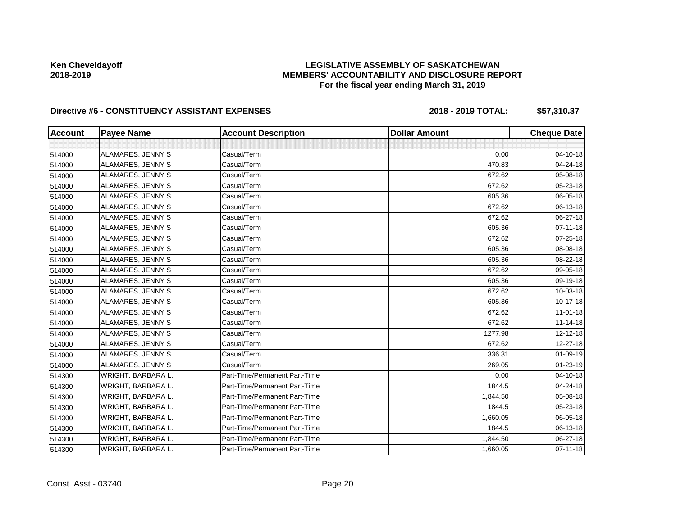### **LEGISLATIVE ASSEMBLY OF SASKATCHEWAN MEMBERS' ACCOUNTABILITY AND DISCLOSURE REPORT For the fiscal year ending March 31, 2019**

| <b>Account</b> | <b>Payee Name</b>  | <b>Account Description</b>    | <b>Dollar Amount</b> | <b>Cheque Date</b> |
|----------------|--------------------|-------------------------------|----------------------|--------------------|
|                |                    |                               |                      |                    |
| 514000         | ALAMARES, JENNY S  | Casual/Term                   | 0.00                 | 04-10-18           |
| 514000         | ALAMARES, JENNY S  | Casual/Term                   | 470.83               | 04-24-18           |
| 514000         | ALAMARES, JENNY S  | Casual/Term                   | 672.62               | 05-08-18           |
| 514000         | ALAMARES, JENNY S  | Casual/Term                   | 672.62               | 05-23-18           |
| 514000         | ALAMARES, JENNY S  | Casual/Term                   | 605.36               | 06-05-18           |
| 514000         | ALAMARES, JENNY S  | Casual/Term                   | 672.62               | 06-13-18           |
| 514000         | ALAMARES, JENNY S  | Casual/Term                   | 672.62               | 06-27-18           |
| 514000         | ALAMARES, JENNY S  | Casual/Term                   | 605.36               | $07 - 11 - 18$     |
| 514000         | ALAMARES, JENNY S  | Casual/Term                   | 672.62               | 07-25-18           |
| 514000         | ALAMARES, JENNY S  | Casual/Term                   | 605.36               | 08-08-18           |
| 514000         | ALAMARES, JENNY S  | Casual/Term                   | 605.36               | 08-22-18           |
| 514000         | ALAMARES, JENNY S  | Casual/Term                   | 672.62               | 09-05-18           |
| 514000         | ALAMARES, JENNY S  | Casual/Term                   | 605.36               | 09-19-18           |
| 514000         | ALAMARES, JENNY S  | Casual/Term                   | 672.62               | 10-03-18           |
| 514000         | ALAMARES, JENNY S  | Casual/Term                   | 605.36               | $10-17-18$         |
| 514000         | ALAMARES, JENNY S  | Casual/Term                   | 672.62               | $11 - 01 - 18$     |
| 514000         | ALAMARES, JENNY S  | Casual/Term                   | 672.62               | $11 - 14 - 18$     |
| 514000         | ALAMARES, JENNY S  | Casual/Term                   | 1277.98              | 12-12-18           |
| 514000         | ALAMARES, JENNY S  | Casual/Term                   | 672.62               | 12-27-18           |
| 514000         | ALAMARES, JENNY S  | Casual/Term                   | 336.31               | 01-09-19           |
| 514000         | ALAMARES, JENNY S  | Casual/Term                   | 269.05               | $01 - 23 - 19$     |
| 514300         | WRIGHT, BARBARA L. | Part-Time/Permanent Part-Time | 0.00                 | $04 - 10 - 18$     |
| 514300         | WRIGHT, BARBARA L. | Part-Time/Permanent Part-Time | 1844.5               | 04-24-18           |
| 514300         | WRIGHT, BARBARA L. | Part-Time/Permanent Part-Time | 1,844.50             | 05-08-18           |
| 514300         | WRIGHT, BARBARA L. | Part-Time/Permanent Part-Time | 1844.5               | 05-23-18           |
| 514300         | WRIGHT, BARBARA L. | Part-Time/Permanent Part-Time | 1,660.05             | 06-05-18           |
| 514300         | WRIGHT, BARBARA L. | Part-Time/Permanent Part-Time | 1844.5               | 06-13-18           |
| 514300         | WRIGHT, BARBARA L. | Part-Time/Permanent Part-Time | 1,844.50             | 06-27-18           |
| 514300         | WRIGHT, BARBARA L. | Part-Time/Permanent Part-Time | 1,660.05             | $07 - 11 - 18$     |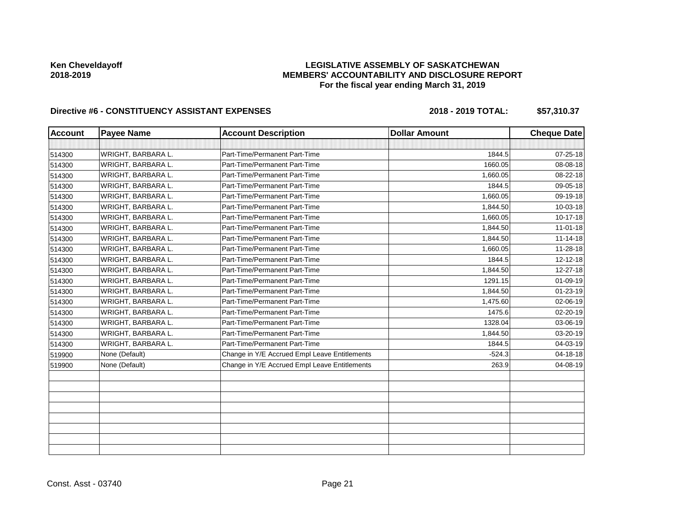### **LEGISLATIVE ASSEMBLY OF SASKATCHEWAN MEMBERS' ACCOUNTABILITY AND DISCLOSURE REPORT For the fiscal year ending March 31, 2019**

| <b>Account</b> | <b>Payee Name</b>  | <b>Account Description</b>                    | <b>Dollar Amount</b> | <b>Cheque Date</b> |
|----------------|--------------------|-----------------------------------------------|----------------------|--------------------|
|                |                    |                                               |                      |                    |
| 514300         | WRIGHT, BARBARA L. | Part-Time/Permanent Part-Time                 | 1844.5               | $07 - 25 - 18$     |
| 514300         | WRIGHT, BARBARA L. | Part-Time/Permanent Part-Time                 | 1660.05              | 08-08-18           |
| 514300         | WRIGHT, BARBARA L. | Part-Time/Permanent Part-Time                 | 1,660.05             | 08-22-18           |
| 514300         | WRIGHT, BARBARA L. | Part-Time/Permanent Part-Time                 | 1844.5               | 09-05-18           |
| 514300         | WRIGHT, BARBARA L. | Part-Time/Permanent Part-Time                 | 1,660.05             | 09-19-18           |
| 514300         | WRIGHT, BARBARA L. | Part-Time/Permanent Part-Time                 | 1,844.50             | 10-03-18           |
| 514300         | WRIGHT, BARBARA L. | Part-Time/Permanent Part-Time                 | 1,660.05             | $10 - 17 - 18$     |
| 514300         | WRIGHT, BARBARA L. | Part-Time/Permanent Part-Time                 | 1,844.50             | $11-01-18$         |
| 514300         | WRIGHT, BARBARA L. | Part-Time/Permanent Part-Time                 | 1,844.50             | $11 - 14 - 18$     |
| 514300         | WRIGHT, BARBARA L. | Part-Time/Permanent Part-Time                 | 1,660.05             | 11-28-18           |
| 514300         | WRIGHT, BARBARA L. | Part-Time/Permanent Part-Time                 | 1844.5               | $12 - 12 - 18$     |
| 514300         | WRIGHT, BARBARA L. | Part-Time/Permanent Part-Time                 | 1,844.50             | 12-27-18           |
| 514300         | WRIGHT, BARBARA L. | Part-Time/Permanent Part-Time                 | 1291.15              | 01-09-19           |
| 514300         | WRIGHT, BARBARA L. | Part-Time/Permanent Part-Time                 | 1,844.50             | 01-23-19           |
| 514300         | WRIGHT, BARBARA L. | Part-Time/Permanent Part-Time                 | 1,475.60             | 02-06-19           |
| 514300         | WRIGHT, BARBARA L. | Part-Time/Permanent Part-Time                 | 1475.6               | 02-20-19           |
| 514300         | WRIGHT, BARBARA L. | Part-Time/Permanent Part-Time                 | 1328.04              | 03-06-19           |
| 514300         | WRIGHT, BARBARA L. | Part-Time/Permanent Part-Time                 | 1,844.50             | 03-20-19           |
| 514300         | WRIGHT, BARBARA L. | Part-Time/Permanent Part-Time                 | 1844.5               | 04-03-19           |
| 519900         | None (Default)     | Change in Y/E Accrued Empl Leave Entitlements | $-524.3$             | 04-18-18           |
| 519900         | None (Default)     | Change in Y/E Accrued Empl Leave Entitlements | 263.9                | 04-08-19           |
|                |                    |                                               |                      |                    |
|                |                    |                                               |                      |                    |
|                |                    |                                               |                      |                    |
|                |                    |                                               |                      |                    |
|                |                    |                                               |                      |                    |
|                |                    |                                               |                      |                    |
|                |                    |                                               |                      |                    |
|                |                    |                                               |                      |                    |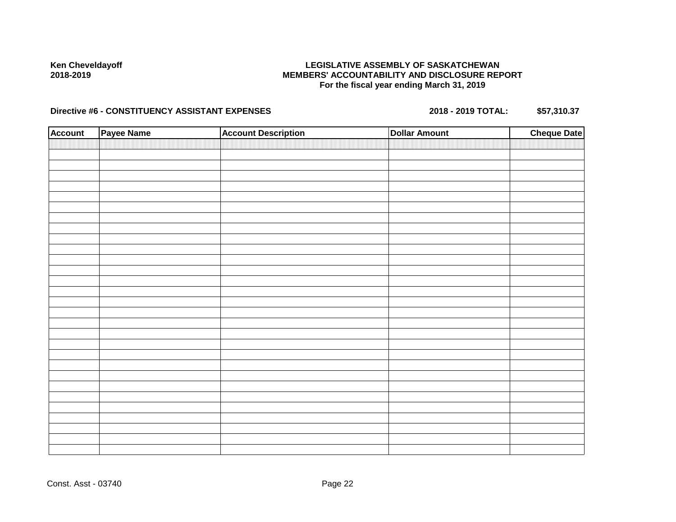### **LEGISLATIVE ASSEMBLY OF SASKATCHEWAN MEMBERS' ACCOUNTABILITY AND DISCLOSURE REPORT For the fiscal year ending March 31, 2019**

| <b>Account</b> | Payee Name | <b>Account Description</b> | <b>Dollar Amount</b> | <b>Cheque Date</b> |
|----------------|------------|----------------------------|----------------------|--------------------|
|                |            |                            |                      |                    |
|                |            |                            |                      |                    |
|                |            |                            |                      |                    |
|                |            |                            |                      |                    |
|                |            |                            |                      |                    |
|                |            |                            |                      |                    |
|                |            |                            |                      |                    |
|                |            |                            |                      |                    |
|                |            |                            |                      |                    |
|                |            |                            |                      |                    |
|                |            |                            |                      |                    |
|                |            |                            |                      |                    |
|                |            |                            |                      |                    |
|                |            |                            |                      |                    |
|                |            |                            |                      |                    |
|                |            |                            |                      |                    |
|                |            |                            |                      |                    |
|                |            |                            |                      |                    |
|                |            |                            |                      |                    |
|                |            |                            |                      |                    |
|                |            |                            |                      |                    |
|                |            |                            |                      |                    |
|                |            |                            |                      |                    |
|                |            |                            |                      |                    |
|                |            |                            |                      |                    |
|                |            |                            |                      |                    |
|                |            |                            |                      |                    |
|                |            |                            |                      |                    |
|                |            |                            |                      |                    |
|                |            |                            |                      |                    |